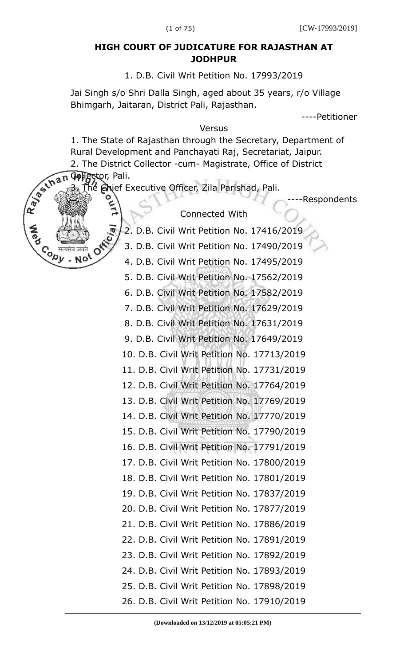## **HIGH COURT OF JUDICATURE FOR RAJASTHAN AT JODHPUR**

1. D.B. Civil Writ Petition No. 17993/2019

Jai Singh s/o Shri Dalla Singh, aged about 35 years, r/o Village Bhimgarh, Jaitaran, District Pali, Rajasthan.

----Petitioner

## Versus

1. The State of Rajasthan through the Secretary, Department of Rural Development and Panchayati Raj, Secretariat, Jaipur.

2. The District Collector -cum- Magistrate, Office of District evelop<br>
2. The District<br>
2. The District<br>
2. The Brief

e Ghief Executive Officer, Zila Parishad, Pali.

**Contract** 

- Nol

----Respondents

## Connected With

2. D.B. Civil Writ Petition No. 17416/2019

3. D.B. Civil Writ Petition No. 17490/2019

4. D.B. Civil Writ Petition No. 17495/2019

5. D.B. Civil Writ Petition No. 17562/2019

6. D.B. Civil Writ Petition No. 17582/2019

7. D.B. Civil Writ Petition No. 17629/2019

8. D.B. Civil Writ Petition No. 17631/2019

9. D.B. Civil Writ Petition No. 17649/2019

10. D.B. Civil Writ Petition No. 17713/2019

11. D.B. Civil Writ Petition No. 17731/2019

12. D.B. Civil Writ Petition No. 17764/2019

13. D.B. Civil Writ Petition No. 17769/2019 14. D.B. Civil Writ Petition No. 17770/2019

15. D.B. Civil Writ Petition No. 17790/2019

16. D.B. Civil Writ Petition No. 17791/2019

17. D.B. Civil Writ Petition No. 17800/2019

18. D.B. Civil Writ Petition No. 17801/2019 19. D.B. Civil Writ Petition No. 17837/2019 20. D.B. Civil Writ Petition No. 17877/2019

21. D.B. Civil Writ Petition No. 17886/2019

22. D.B. Civil Writ Petition No. 17891/2019

- 23. D.B. Civil Writ Petition No. 17892/2019
- 24. D.B. Civil Writ Petition No. 17893/2019

25. D.B. Civil Writ Petition No. 17898/2019 26. D.B. Civil Writ Petition No. 17910/2019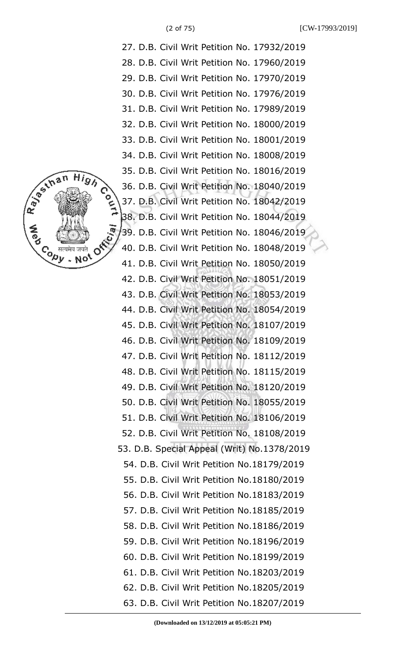

27. D.B. Civil Writ Petition No. 17932/2019 28. D.B. Civil Writ Petition No. 17960/2019 29. D.B. Civil Writ Petition No. 17970/2019 30. D.B. Civil Writ Petition No. 17976/2019 31. D.B. Civil Writ Petition No. 17989/2019 32. D.B. Civil Writ Petition No. 18000/2019 33. D.B. Civil Writ Petition No. 18001/2019 34. D.B. Civil Writ Petition No. 18008/2019 35. D.B. Civil Writ Petition No. 18016/2019 36. D.B. Civil Writ Petition No. 18040/2019 37. D.B. Civil Writ Petition No. 18042/2019 38. D.B. Civil Writ Petition No. 18044/2019 39. D.B. Civil Writ Petition No. 18046/2019 40. D.B. Civil Writ Petition No. 18048/2019 41. D.B. Civil Writ Petition No. 18050/2019 42. D.B. Civil Writ Petition No. 18051/2019 43. D.B. Civil Writ Petition No. 18053/2019 44. D.B. Civil Writ Petition No. 18054/2019 45. D.B. Civil Writ Petition No. 18107/2019 46. D.B. Civil Writ Petition No. 18109/2019 47. D.B. Civil Writ Petition No. 18112/2019 48. D.B. Civil Writ Petition No. 18115/2019 49. D.B. Civil Writ Petition No. 18120/2019 50. D.B. Civil Writ Petition No. 18055/2019 51. D.B. Civil Writ Petition No. 18106/2019 52. D.B. Civil Writ Petition No. 18108/2019 53. D.B. Special Appeal (Writ) No.1378/2019 54. D.B. Civil Writ Petition No.18179/2019 55. D.B. Civil Writ Petition No.18180/2019 56. D.B. Civil Writ Petition No.18183/2019 57. D.B. Civil Writ Petition No.18185/2019 58. D.B. Civil Writ Petition No.18186/2019 59. D.B. Civil Writ Petition No.18196/2019 60. D.B. Civil Writ Petition No.18199/2019 61. D.B. Civil Writ Petition No.18203/2019 62. D.B. Civil Writ Petition No.18205/2019 63. D.B. Civil Writ Petition No.18207/2019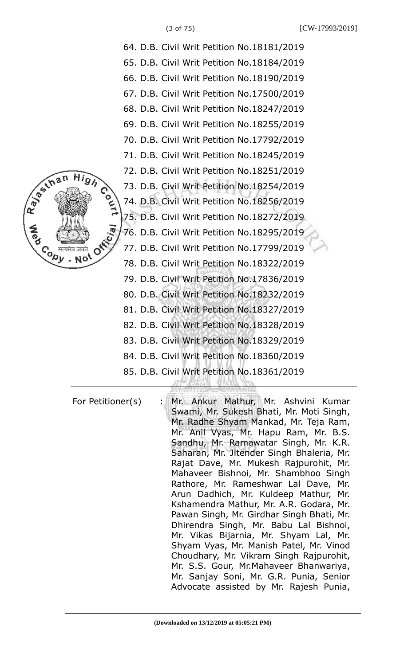

| 64. D.B. Civil Writ Petition No.18181/2019 |
|--------------------------------------------|
| 65. D.B. Civil Writ Petition No.18184/2019 |
| 66. D.B. Civil Writ Petition No.18190/2019 |
| 67. D.B. Civil Writ Petition No.17500/2019 |
| 68. D.B. Civil Writ Petition No.18247/2019 |
| 69. D.B. Civil Writ Petition No.18255/2019 |
| 70. D.B. Civil Writ Petition No.17792/2019 |
| 71. D.B. Civil Writ Petition No.18245/2019 |
| 72. D.B. Civil Writ Petition No.18251/2019 |
| 73. D.B. Civil Writ Petition No.18254/2019 |
| 74. D.B. Civil Writ Petition No.18256/2019 |
| 75. D.B. Civil Writ Petition No.18272/2019 |
| 76. D.B. Civil Writ Petition No.18295/2019 |
| 77. D.B. Civil Writ Petition No.17799/2019 |
| 78. D.B. Civil Writ Petition No.18322/2019 |
| 79. D.B. Civil Writ Petition No.17836/2019 |
| 80. D.B. Civil Writ Petition No.18232/2019 |
| 81. D.B. Civil Writ Petition No.18327/2019 |
| 82. D.B. Civil Writ Petition No.18328/2019 |
| 83. D.B. Civil Writ Petition No.18329/2019 |
| 84. D.B. Civil Writ Petition No.18360/2019 |
| 85. D.B. Civil Writ Petition No.18361/2019 |
|                                            |

For Petitioner(s) : Mr. Ankur Mathur, Mr. Ashvini Kumar Swami, Mr. Sukesh Bhati, Mr. Moti Singh, Mr. Radhe Shyam Mankad, Mr. Teja Ram, Mr. Anil Vyas, Mr. Hapu Ram, Mr. B.S. Sandhu, Mr. Ramawatar Singh, Mr. K.R. Saharan, Mr. Jitender Singh Bhaleria, Mr. Rajat Dave, Mr. Mukesh Rajpurohit, Mr. Mahaveer Bishnoi, Mr. Shambhoo Singh Rathore, Mr. Rameshwar Lal Dave, Mr. Arun Dadhich, Mr. Kuldeep Mathur, Mr. Kshamendra Mathur, Mr. A.R. Godara, Mr. Pawan Singh, Mr. Girdhar Singh Bhati, Mr. Dhirendra Singh, Mr. Babu Lal Bishnoi, Mr. Vikas Bijarnia, Mr. Shyam Lal, Mr. Shyam Vyas, Mr. Manish Patel, Mr. Vinod Choudhary, Mr. Vikram Singh Rajpurohit, Mr. S.S. Gour, Mr.Mahaveer Bhanwariya, Mr. Sanjay Soni, Mr. G.R. Punia, Senior Advocate assisted by Mr. Rajesh Punia,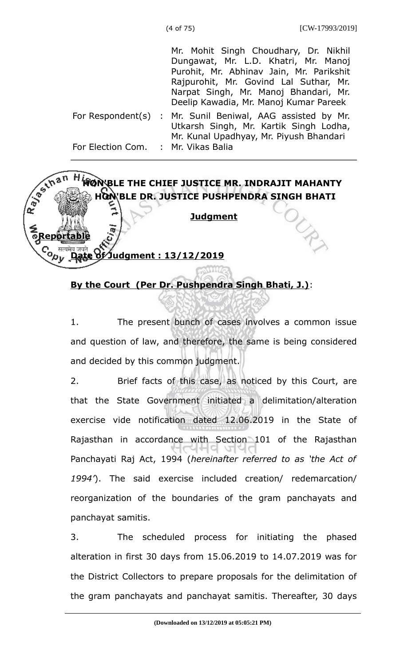Mr. Mohit Singh Choudhary, Dr. Nikhil Dungawat, Mr. L.D. Khatri, Mr. Manoj Purohit, Mr. Abhinav Jain, Mr. Parikshit Rajpurohit, Mr. Govind Lal Suthar, Mr. Narpat Singh, Mr. Manoj Bhandari, Mr. Deelip Kawadia, Mr. Manoj Kumar Pareek

For Respondent(s) : Mr. Sunil Beniwal, AAG assisted by Mr. For Election Com. : Mr. Vikas Balia Utkarsh Singh, Mr. Kartik Singh Lodha, Mr. Kunal Upadhyay, Mr. Piyush Bhandari



## **By the Court (Per Dr. Pushpendra Singh Bhati, J.)**:

1. The present bunch of cases involves a common issue and question of law, and therefore, the same is being considered and decided by this common judgment.

2. Brief facts of this case, as noticed by this Court, are that the State Government initiated a delimitation/alteration exercise vide notification dated 12.06.2019 in the State of Rajasthan in accordance with Section 101 of the Rajasthan Panchayati Raj Act, 1994 (*hereinafter referred to as 'the Act of 1994'*). The said exercise included creation/ redemarcation/ reorganization of the boundaries of the gram panchayats and panchayat samitis.

3. The scheduled process for initiating the phased alteration in first 30 days from 15.06.2019 to 14.07.2019 was for the District Collectors to prepare proposals for the delimitation of the gram panchayats and panchayat samitis. Thereafter, 30 days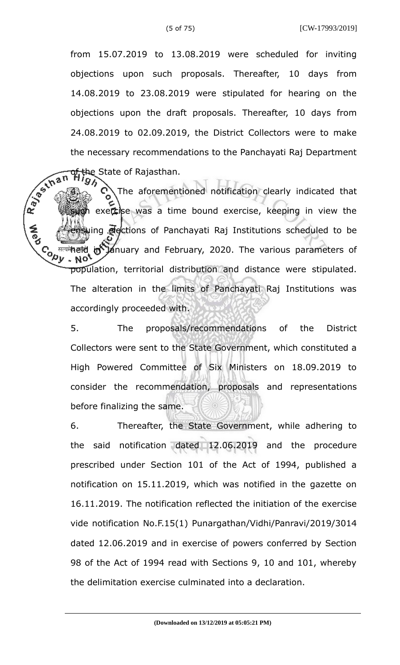from 15.07.2019 to 13.08.2019 were scheduled for inviting objections upon such proposals. Thereafter, 10 days from 14.08.2019 to 23.08.2019 were stipulated for hearing on the objections upon the draft proposals. Thereafter, 10 days from 24.08.2019 to 02.09.2019, the District Collectors were to make the necessary recommendations to the Panchayati Raj Department the State of Rajasthan.

R. Bechan The aforementioned notification clearly indicated that on exercise was a time bound exercise, keeping in view the uing **elections of Panchayati Raj Institutions scheduled to be Conur** मत्यमे**ं हो Ja**nuary and February, 2020. The various parameters of population, territorial distribution and distance were stipulated. The alteration in the limits of Panchayati Raj Institutions was accordingly proceeded with.

> 5. The proposals/recommendations of the District Collectors were sent to the State Government, which constituted a High Powered Committee of Six Ministers on 18.09.2019 to consider the recommendation, proposals and representations before finalizing the same.

> 6. Thereafter, the State Government, while adhering to the said notification dated 12.06.2019 and the procedure prescribed under Section 101 of the Act of 1994, published a notification on 15.11.2019, which was notified in the gazette on 16.11.2019. The notification reflected the initiation of the exercise vide notification No.F.15(1) Punargathan/Vidhi/Panravi/2019/3014 dated 12.06.2019 and in exercise of powers conferred by Section 98 of the Act of 1994 read with Sections 9, 10 and 101, whereby the delimitation exercise culminated into a declaration.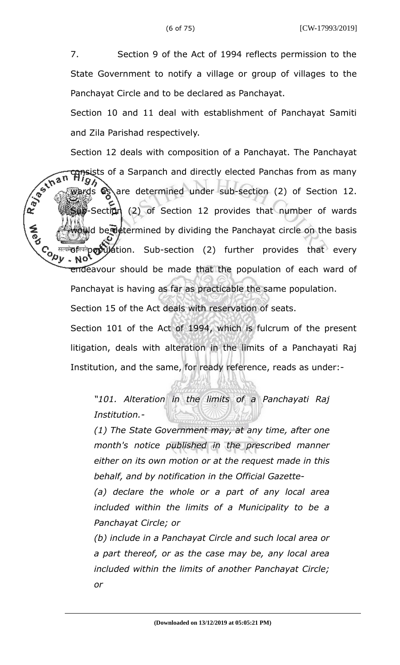7. Section 9 of the Act of 1994 reflects permission to the State Government to notify a village or group of villages to the Panchayat Circle and to be declared as Panchayat.

Section 10 and 11 deal with establishment of Panchayat Samiti and Zila Parishad respectively.

Section 12 deals with composition of a Panchayat. The Panchayat R. Bechan consists of a Sarpanch and directly elected Panchas from as many wards  $\bigotimes$  are determined under sub-section (2) of Section 12.  $\mathbb{E}$  -Section (2) of Section 12 provides that number of wards wild be determined by dividing the Panchayat circle on the basis **Copy** <sup>सत्यमे</sup>0 <sup>क्</sup>रियोर्टी कर्ण प्राप्त bub-section (2) further provides that every NO. endeavour should be made that the population of each ward of Panchayat is having as far as practicable the same population.

Section 15 of the Act deals with reservation of seats.

Section 101 of the Act of 1994, which is fulcrum of the present litigation, deals with alteration in the limits of a Panchayati Raj Institution, and the same, for ready reference, reads as under:-

*"101. Alteration in the limits of a Panchayati Raj Institution.-* 

*(1) The State Government may, at any time, after one month's notice published in the prescribed manner either on its own motion or at the request made in this behalf, and by notification in the Official Gazette-*

*(a) declare the whole or a part of any local area included within the limits of a Municipality to be a Panchayat Circle; or* 

*(b) include in a Panchayat Circle and such local area or a part thereof, or as the case may be, any local area included within the limits of another Panchayat Circle; or*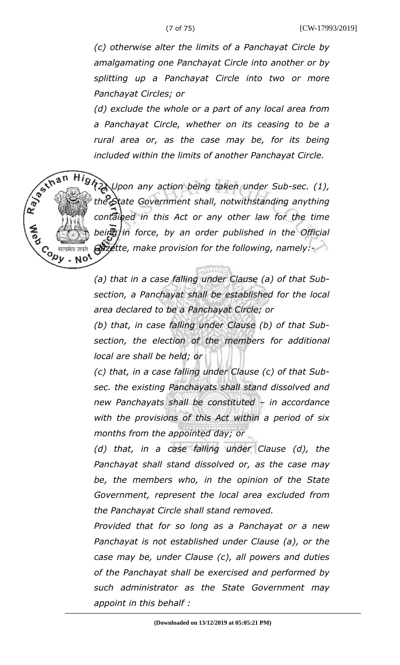R. Besthan

Copy<br>√्⁄20

*(c) otherwise alter the limits of a Panchayat Circle by amalgamating one Panchayat Circle into another or by splitting up a Panchayat Circle into two or more Panchayat Circles; or*

*(d) exclude the whole or a part of any local area from a Panchayat Circle, whether on its ceasing to be a rural area or, as the case may be, for its being included within the limits of another Panchayat Circle.*

*(2) Upon any action being taken under Sub-sec. (1), the State Government shall, notwithstanding anything contained in this Act or any other law for the time being in force, by an order published in the Official Gazette, make provision for the following, namely:-* - Not

*(a) that in a case falling under Clause (a) of that Subsection, a Panchayat shall be established for the local area declared to be a Panchayat Circle; or* 

*(b) that, in case falling under Clause (b) of that Subsection, the election of the members for additional local are shall be held; or* 

*(c) that, in a case falling under Clause (c) of that Subsec. the existing Panchayats shall stand dissolved and new Panchayats shall be constituted – in accordance with the provisions of this Act within a period of six months from the appointed day; or*

*(d) that, in a case falling under Clause (d), the Panchayat shall stand dissolved or, as the case may be, the members who, in the opinion of the State Government, represent the local area excluded from the Panchayat Circle shall stand removed.*

*Provided that for so long as a Panchayat or a new Panchayat is not established under Clause (a), or the case may be, under Clause (c), all powers and duties of the Panchayat shall be exercised and performed by such administrator as the State Government may appoint in this behalf :*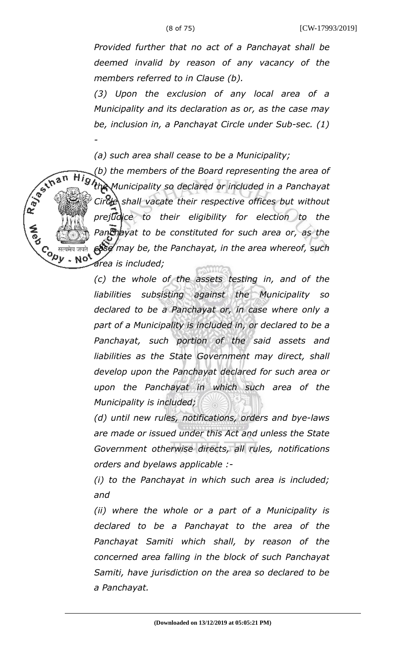*Provided further that no act of a Panchayat shall be deemed invalid by reason of any vacancy of the members referred to in Clause (b).* 

*(3) Upon the exclusion of any local area of a Municipality and its declaration as or, as the case may be, inclusion in, a Panchayat Circle under Sub-sec. (1) -*

*(a) such area shall cease to be a Municipality;* 

R 35 Ihan

*(b) the members of the Board representing the area of the Municipality so declared or included in a Panchayat Circle shall vacate their respective offices but without prejudice to their eligibility for election to the Panchayat to be constituted for such area or, as the case may be, the Panchayat, in the area whereof, such*  $\overline{c}$ *opy* - No<sup>t</sup> *area is included;* 

> *(c) the whole of the assets testing in, and of the liabilities subsisting against the Municipality so declared to be a Panchayat or, in case where only a part of a Municipality is included in, or declared to be a Panchayat, such portion of the said assets and liabilities as the State Government may direct, shall develop upon the Panchayat declared for such area or upon the Panchayat in which such area of the Municipality is included;*

> *(d) until new rules, notifications, orders and bye-laws are made or issued under this Act and unless the State Government otherwise directs, all rules, notifications orders and byelaws applicable :-*

> *(i) to the Panchayat in which such area is included; and*

> *(ii) where the whole or a part of a Municipality is declared to be a Panchayat to the area of the Panchayat Samiti which shall, by reason of the concerned area falling in the block of such Panchayat Samiti, have jurisdiction on the area so declared to be a Panchayat.*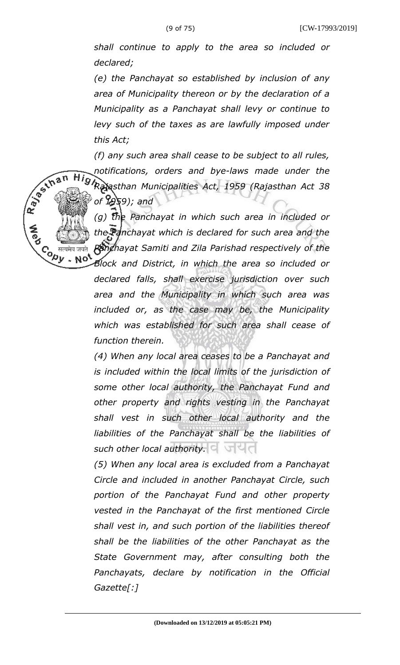*shall continue to apply to the area so included or declared;* 

*(e) the Panchayat so established by inclusion of any area of Municipality thereon or by the declaration of a Municipality as a Panchayat shall levy or continue to levy such of the taxes as are lawfully imposed under this Act;* 

*(f) any such area shall cease to be subject to all rules, notifications, orders and bye-laws made under the Rajasthan Municipalities Act, 1959 (Rajasthan Act 38 of 1959); and* 

R 35 Ihan

Co सत्यमेव जयते<br>Version Not

*(g) the Panchayat in which such area in included or the Panchayat which is declared for such area and the Panchayat Samiti and Zila Parishad respectively of the*

*Block and District, in which the area so included or declared falls, shall exercise jurisdiction over such area and the Municipality in which such area was included or, as the case may be, the Municipality which was established for such area shall cease of function therein.* 

*(4) When any local area ceases to be a Panchayat and is included within the local limits of the jurisdiction of some other local authority, the Panchayat Fund and other property and rights vesting in the Panchayat shall vest in such other local authority and the liabilities of the Panchayat shall be the liabilities of* such other local authority. **C** 

*(5) When any local area is excluded from a Panchayat Circle and included in another Panchayat Circle, such portion of the Panchayat Fund and other property vested in the Panchayat of the first mentioned Circle shall vest in, and such portion of the liabilities thereof shall be the liabilities of the other Panchayat as the State Government may, after consulting both the Panchayats, declare by notification in the Official Gazette[:]*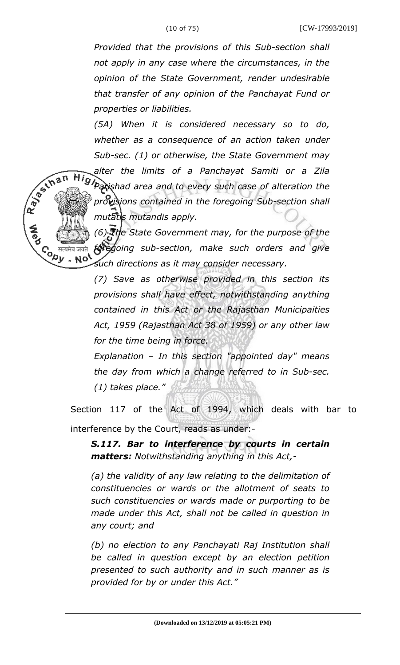*Provided that the provisions of this Sub-section shall not apply in any case where the circumstances, in the opinion of the State Government, render undesirable that transfer of any opinion of the Panchayat Fund or properties or liabilities.* 

*(5A) When it is considered necessary so to do, whether as a consequence of an action taken under Sub-sec. (1) or otherwise, the State Government may alter the limits of a Panchayat Samiti or a Zila Parishad area and to every such case of alteration the provisions contained in the foregoing Sub-section shall*

*mutatis mutandis apply.* 

R. Baylor

*(6) The State Government may, for the purpose of the foregoing sub-section, make such orders and give*  $\overline{c}$ *opy* - Not *such directions as it may consider necessary.* 

> *(7) Save as otherwise provided in this section its provisions shall have effect, notwithstanding anything contained in this Act or the Rajasthan Municipaities Act, 1959 (Rajasthan Act 38 of 1959) or any other law for the time being in force.*

> *Explanation – In this section "appointed day" means the day from which a change referred to in Sub-sec. (1) takes place."*

Section 117 of the Act of 1994, which deals with bar to interference by the Court, reads as under:-

*S.117. Bar to interference by courts in certain matters: Notwithstanding anything in this Act,-*

*(a) the validity of any law relating to the delimitation of constituencies or wards or the allotment of seats to such constituencies or wards made or purporting to be made under this Act, shall not be called in question in any court; and*

*(b) no election to any Panchayati Raj Institution shall be called in question except by an election petition presented to such authority and in such manner as is provided for by or under this Act."*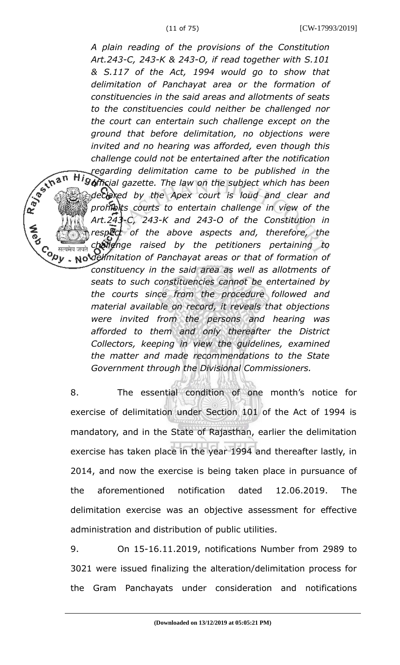*A plain reading of the provisions of the Constitution Art.243-C, 243-K & 243-O, if read together with S.101 & S.117 of the Act, 1994 would go to show that delimitation of Panchayat area or the formation of constituencies in the said areas and allotments of seats to the constituencies could neither be challenged nor the court can entertain such challenge except on the ground that before delimitation, no objections were invited and no hearing was afforded, even though this challenge could not be entertained after the notification regarding delimitation came to be published in the official gazette. The law on the subject which has been declared by the Apex court is loud and clear and prohibits courts to entertain challenge in view of the Art.243-C, 243-K and 243-O of the Constitution in respect of the above aspects and, therefore, the challenge raised by the petitioners pertaining to delimitation of Panchayat areas or that of formation of* जयते *constituency in the said area as well as allotments of seats to such constituencies cannot be entertained by the courts since from the procedure followed and material available on record, it reveals that objections were invited from the persons and hearing was afforded to them and only thereafter the District Collectors, keeping in view the guidelines, examined the matter and made recommendations to the State Government through the Divisional Commissioners.*

R. B. Inan

8. The essential condition of one month's notice for exercise of delimitation under Section 101 of the Act of 1994 is mandatory, and in the State of Rajasthan, earlier the delimitation exercise has taken place in the year 1994 and thereafter lastly, in 2014, and now the exercise is being taken place in pursuance of the aforementioned notification dated 12.06.2019. The delimitation exercise was an objective assessment for effective administration and distribution of public utilities.

9. On 15-16.11.2019, notifications Number from 2989 to 3021 were issued finalizing the alteration/delimitation process for the Gram Panchayats under consideration and notifications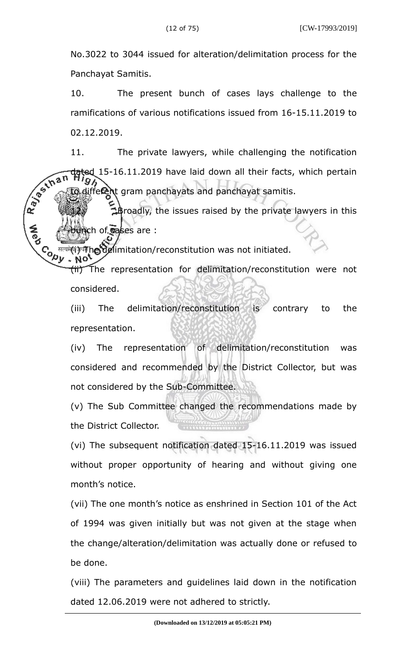No.3022 to 3044 issued for alteration/delimitation process for the Panchayat Samitis.

10. The present bunch of cases lays challenge to the ramifications of various notifications issued from 16-15.11.2019 to 02.12.2019.

11. The private lawyers, while challenging the notification R. Basical ted 15-16.11.2019 have laid down all their facts, which pertain different gram panchayats and panchayat samitis.

12. Broadly, the issues raised by the private lawyers in this ch of **c**ases are :

**Copy** <sup>तत्यमे</sup>(भिष्पे) गोल विद्योगिल (reconstitution was not initiated.

(ii) The representation for delimitation/reconstitution were not considered.

(iii) The delimitation/reconstitution is contrary to the representation.

(iv) The representation of delimitation/reconstitution was considered and recommended by the District Collector, but was not considered by the Sub-Committee.

(v) The Sub Committee changed the recommendations made by the District Collector.

(vi) The subsequent notification dated 15-16.11.2019 was issued without proper opportunity of hearing and without giving one month's notice.

(vii) The one month's notice as enshrined in Section 101 of the Act of 1994 was given initially but was not given at the stage when the change/alteration/delimitation was actually done or refused to be done.

(viii) The parameters and guidelines laid down in the notification dated 12.06.2019 were not adhered to strictly.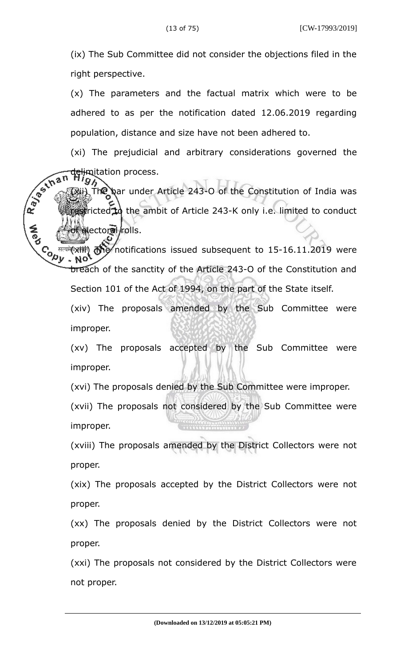(ix) The Sub Committee did not consider the objections filed in the right perspective.

(x) The parameters and the factual matrix which were to be adhered to as per the notification dated 12.06.2019 regarding population, distance and size have not been adhered to.

(xi) The prejudicial and arbitrary considerations governed the delimitation process.

R. Bechan The bar under Article 243-O of the Constitution of India was cricted to the ambit of Article 243-K only i.e. limited to conduct electoral/rolls.

**CONTE** गत्यमे**(xiiii) The** notifications issued subsequent to 15-16.11.2019 were breach of the sanctity of the Article 243-O of the Constitution and Section 101 of the Act of 1994, on the part of the State itself.

(xiv) The proposals amended by the Sub Committee were improper.

(xv) The proposals accepted by the Sub Committee were improper.

(xvi) The proposals denied by the Sub Committee were improper.

(xvii) The proposals not considered by the Sub Committee were improper.

(xviii) The proposals amended by the District Collectors were not proper.

(xix) The proposals accepted by the District Collectors were not proper.

(xx) The proposals denied by the District Collectors were not proper.

(xxi) The proposals not considered by the District Collectors were not proper.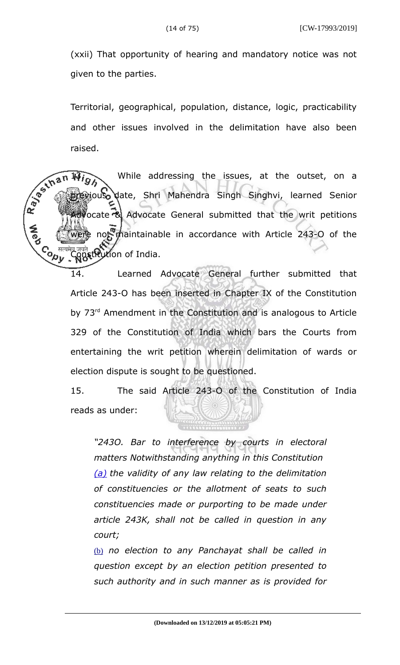(xxii) That opportunity of hearing and mandatory notice was not given to the parties.

Territorial, geographical, population, distance, logic, practicability and other issues involved in the delimitation have also been raised.

While addressing the issues, at the outset, on a tious date, Shri Mahendra Singh Singhvi, learned Senior ocate & Advocate General submitted that the writ petitions not maintainable in accordance with Article 243-O of the **Contr** tion of India.

> 14. Learned Advocate General further submitted that Article 243-O has been inserted in Chapter IX of the Constitution by 73<sup>rd</sup> Amendment in the Constitution and is analogous to Article 329 of the Constitution of India which bars the Courts from entertaining the writ petition wherein delimitation of wards or election dispute is sought to be questioned.

> 15. The said Article 243-O of the Constitution of India reads as under:

*"243O. Bar to interference by courts in electoral matters Notwithstanding anything in this Constitution (a) the validity of any law relating to the delimitation of constituencies or the allotment of seats to such constituencies made or purporting to be made under article 243K, shall not be called in question in any court;*

(b) *no election to any Panchayat shall be called in question except by an election petition presented to such authority and in such manner as is provided for*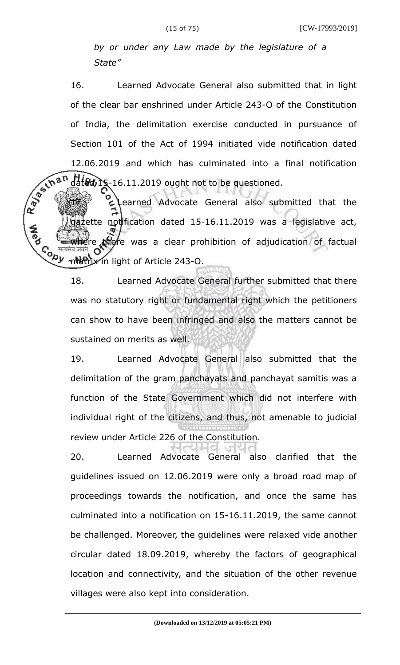*by or under any Law made by the legislature of a State"*

16. Learned Advocate General also submitted that in light of the clear bar enshrined under Article 243-O of the Constitution of India, the delimitation exercise conducted in pursuance of Section 101 of the Act of 1994 initiated vide notification dated 12.06.2019 and which has culminated into a final notification dated 15-16.11.2019 ought not to be questioned.

R. Bechan Learned Advocate General also submitted that the azette notification dated 15-16.11.2019 was a legislative act, e there was a clear prohibition of adjudication of factual **Cody** metrix in light of Article 243-O.

> 18. Learned Advocate General further submitted that there was no statutory right or fundamental right which the petitioners can show to have been infringed and also the matters cannot be sustained on merits as well.

> 19. Learned Advocate General also submitted that the delimitation of the gram panchayats and panchayat samitis was a function of the State Government which did not interfere with individual right of the citizens, and thus, not amenable to judicial review under Article 226 of the Constitution.

> 20. Learned Advocate General also clarified that the guidelines issued on 12.06.2019 were only a broad road map of proceedings towards the notification, and once the same has culminated into a notification on 15-16.11.2019, the same cannot be challenged. Moreover, the guidelines were relaxed vide another circular dated 18.09.2019, whereby the factors of geographical location and connectivity, and the situation of the other revenue villages were also kept into consideration.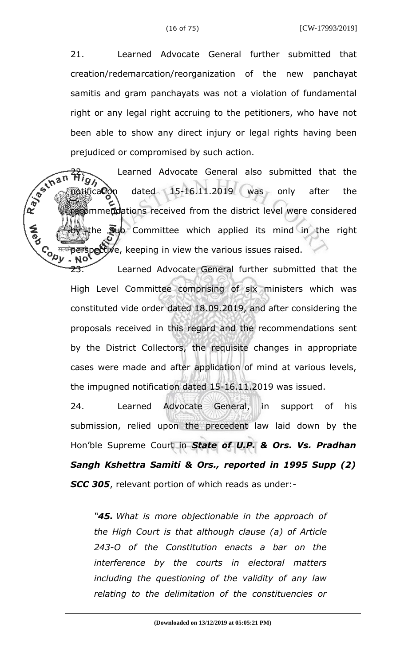21. Learned Advocate General further submitted that creation/redemarcation/reorganization of the new panchayat samitis and gram panchayats was not a violation of fundamental right or any legal right accruing to the petitioners, who have not been able to show any direct injury or legal rights having been prejudiced or compromised by such action.

R. Bechan Learned Advocate General also submitted that the  $\delta$   $\delta$ tification dated 15-16.11.2019 was only after the recommendations received from the district level were considered the  $\overline{\mathbf{s}}$ ub Committee which applied its mind in the right **Cody** <sup>सत्यमे</sup>perspective, keeping in view the various issues raised.

23. Learned Advocate General further submitted that the High Level Committee comprising of six ministers which was constituted vide order dated 18.09.2019, and after considering the proposals received in this regard and the recommendations sent by the District Collectors, the requisite changes in appropriate cases were made and after application of mind at various levels, the impugned notification dated 15-16.11.2019 was issued.

24. Learned Advocate General, in support of his submission, relied upon the precedent law laid down by the Hon'ble Supreme Court in *State of U.P. & Ors. Vs. Pradhan Sangh Kshettra Samiti & Ors., reported in 1995 Supp (2) SCC 305*, relevant portion of which reads as under:-

*"45. What is more objectionable in the approach of the High Court is that although clause (a) of Article 243-O of the Constitution enacts a bar on the interference by the courts in electoral matters including the questioning of the validity of any law relating to the delimitation of the constituencies or*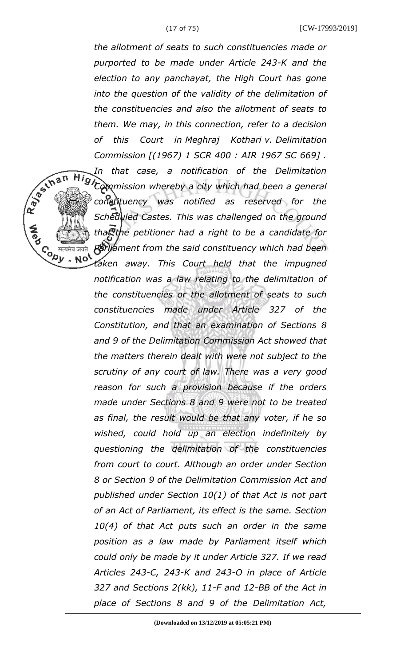R BS IN B N

Co सत्यमेव जयते<br>Version Note<br>Version Note

*the allotment of seats to such constituencies made or purported to be made under Article 243-K and the election to any panchayat, the High Court has gone into the question of the validity of the delimitation of the constituencies and also the allotment of seats to them. We may, in this connection, refer to a decision of this Court in Meghraj Kothari v. Delimitation Commission [(1967) 1 SCR 400 : AIR 1967 SC 669] .*

*In that case, a notification of the Delimitation Commission whereby a city which had been a general constituency was notified as reserved for the Scheduled Castes. This was challenged on the ground that the petitioner had a right to be a candidate for Parliament from the said constituency which had been*

*taken away. This Court held that the impugned notification was a law relating to the delimitation of the constituencies or the allotment of seats to such constituencies made under Article 327 of the Constitution, and that an examination of Sections 8 and 9 of the Delimitation Commission Act showed that the matters therein dealt with were not subject to the scrutiny of any court of law. There was a very good reason for such a provision because if the orders made under Sections 8 and 9 were not to be treated as final, the result would be that any voter, if he so wished, could hold up an election indefinitely by questioning the delimitation of the constituencies from court to court. Although an order under Section 8 or Section 9 of the Delimitation Commission Act and published under Section 10(1) of that Act is not part of an Act of Parliament, its effect is the same. Section 10(4) of that Act puts such an order in the same position as a law made by Parliament itself which could only be made by it under Article 327. If we read Articles 243-C, 243-K and 243-O in place of Article 327 and Sections 2(kk), 11-F and 12-BB of the Act in place of Sections 8 and 9 of the Delimitation Act,*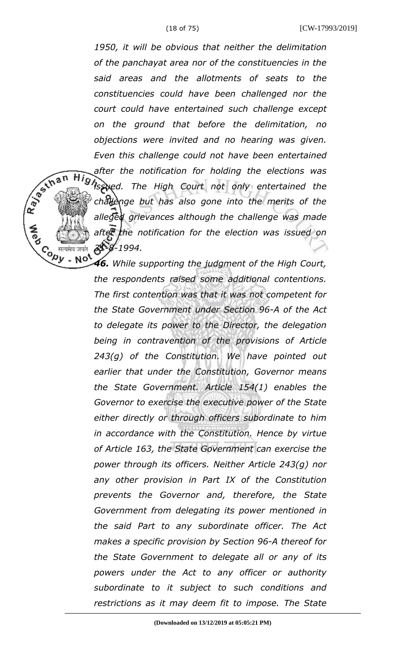*1950, it will be obvious that neither the delimitation of the panchayat area nor of the constituencies in the said areas and the allotments of seats to the constituencies could have been challenged nor the court could have entertained such challenge except on the ground that before the delimitation, no objections were invited and no hearing was given. Even this challenge could not have been entertained after the notification for holding the elections was issued. The High Court not only entertained the challenge but has also gone into the merits of the alleged grievances although the challenge was made after the notification for the election was issued on 31-8-1994.*  $\overline{c}$ *opy* - Not

R BS IN B N

*46. While supporting the judgment of the High Court, the respondents raised some additional contentions. The first contention was that it was not competent for the State Government under Section 96-A of the Act to delegate its power to the Director, the delegation being in contravention of the provisions of Article 243(g) of the Constitution. We have pointed out earlier that under the Constitution, Governor means the State Government. Article 154(1) enables the Governor to exercise the executive power of the State either directly or through officers subordinate to him in accordance with the Constitution. Hence by virtue of Article 163, the State Government can exercise the power through its officers. Neither Article 243(g) nor any other provision in Part IX of the Constitution prevents the Governor and, therefore, the State Government from delegating its power mentioned in the said Part to any subordinate officer. The Act makes a specific provision by Section 96-A thereof for the State Government to delegate all or any of its powers under the Act to any officer or authority subordinate to it subject to such conditions and restrictions as it may deem fit to impose. The State*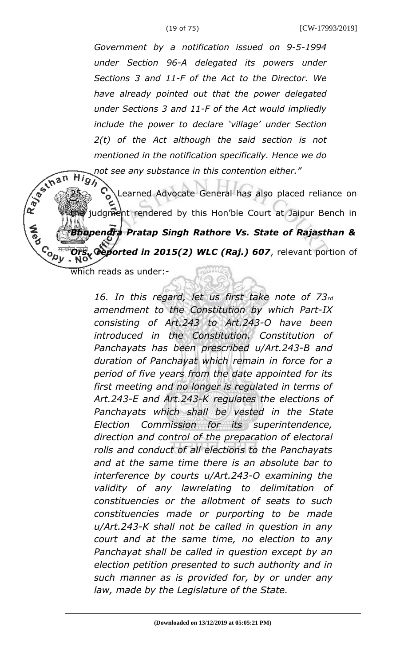*Government by a notification issued on 9-5-1994 under Section 96-A delegated its powers under Sections 3 and 11-F of the Act to the Director. We have already pointed out that the power delegated under Sections 3 and 11-F of the Act would impliedly include the power to declare 'village' under Section 2(t) of the Act although the said section is not mentioned in the notification specifically. Hence we do not see any substance in this contention either."*<br> $\overline{H}$ 

25. Learned Advocate General has also placed reliance on judgment rendered by this Hon'ble Court at Jaipur Bench in *Bhupendra Pratap Singh Rathore Vs. State of Rajasthan & Oeported in 2015(2) WLC (Raj.) 607, relevant portion of* which reads as under:-

> *16. In this regard, let us first take note of 73rd amendment to the Constitution by which Part-IX consisting of Art.243 to Art.243-O have been introduced in the Constitution. Constitution of Panchayats has been prescribed u/Art.243-B and duration of Panchayat which remain in force for a period of five years from the date appointed for its first meeting and no longer is regulated in terms of Art.243-E and Art.243-K regulates the elections of Panchayats which shall be vested in the State Election Commission for its superintendence, direction and control of the preparation of electoral rolls and conduct of all elections to the Panchayats and at the same time there is an absolute bar to interference by courts u/Art.243-O examining the validity of any lawrelating to delimitation of constituencies or the allotment of seats to such constituencies made or purporting to be made u/Art.243-K shall not be called in question in any court and at the same time, no election to any Panchayat shall be called in question except by an election petition presented to such authority and in such manner as is provided for, by or under any law, made by the Legislature of the State.*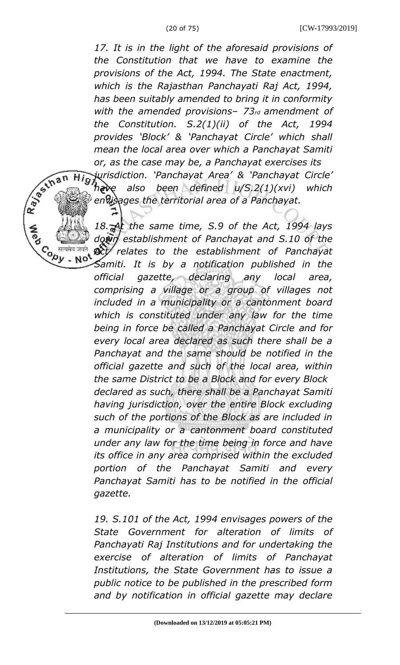*17. It is in the light of the aforesaid provisions of the Constitution that we have to examine the provisions of the Act, 1994. The State enactment, which is the Rajasthan Panchayati Raj Act, 1994, has been suitably amended to bring it in conformity with the amended provisions– 73rd amendment of the Constitution. S.2(1)(ii) of the Act, 1994 provides 'Block' & 'Panchayat Circle' which shall mean the local area over which a Panchayat Samiti or, as the case may be, a Panchayat exercises its*

*jurisdiction. 'Panchayat Area' & 'Panchayat Circle' have also been defined u/S.2(1)(xvi) which envisages the territorial area of a Panchayat.*

*18. At the same time, S.9 of the Act, 1994 lays down establishment of Panchayat and S.10 of the Act relates to the establishment of Panchayat Samiti. It is by a notification published in the*

Con<sup>सल</sup><br>√्⁄0y

- No

*official gazette, declaring any local area, comprising a village or a group of villages not included in a municipality or a cantonment board which is constituted under any law for the time being in force be called a Panchayat Circle and for every local area declared as such there shall be a Panchayat and the same should be notified in the official gazette and such of the local area, within the same District to be a Block and for every Block declared as such, there shall be a Panchayat Samiti having jurisdiction, over the entire Block excluding such of the portions of the Block as are included in a municipality or a cantonment board constituted under any law for the time being in force and have its office in any area comprised within the excluded portion of the Panchayat Samiti and every Panchayat Samiti has to be notified in the official gazette.*

*19. S.101 of the Act, 1994 envisages powers of the State Government for alteration of limits of Panchayati Raj Institutions and for undertaking the exercise of alteration of limits of Panchayat Institutions, the State Government has to issue a public notice to be published in the prescribed form and by notification in official gazette may declare*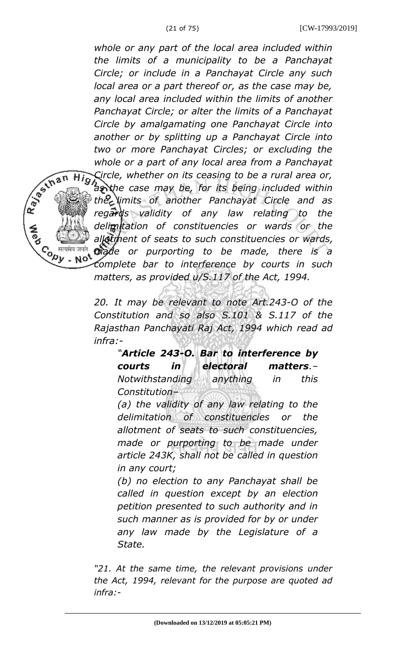*whole or any part of the local area included within the limits of a municipality to be a Panchayat Circle; or include in a Panchayat Circle any such local area or a part thereof or, as the case may be, any local area included within the limits of another Panchayat Circle; or alter the limits of a Panchayat Circle by amalgamating one Panchayat Circle into another or by splitting up a Panchayat Circle into two or more Panchayat Circles; or excluding the whole or a part of any local area from a Panchayat Circle, whether on its ceasing to be a rural area or, as the case may be, for its being included within the limits of another Panchayat Circle and as regards validity of any law relating to the delimitation of constituencies or wards or the allotment of seats to such constituencies or wards, made or purporting to be made, there is a complete bar to interference by courts in such matters, as provided u/S.117 of the Act, 1994.*

*20. It may be relevant to note Art.243-O of the Constitution and so also S.101 & S.117 of the Rajasthan Panchayati Raj Act, 1994 which read ad infra:-*

Co <sup>सत्य</sup><br>९९७

- No

*"Article 243-O. Bar to interference by courts in electoral matters.– Notwithstanding anything in this Constitution–*

*(a) the validity of any law relating to the delimitation of constituencies or the allotment of seats to such constituencies, made or purporting to be made under article 243K, shall not be called in question in any court;*

*(b) no election to any Panchayat shall be called in question except by an election petition presented to such authority and in such manner as is provided for by or under any law made by the Legislature of a State.*

*"21. At the same time, the relevant provisions under the Act, 1994, relevant for the purpose are quoted ad infra:-*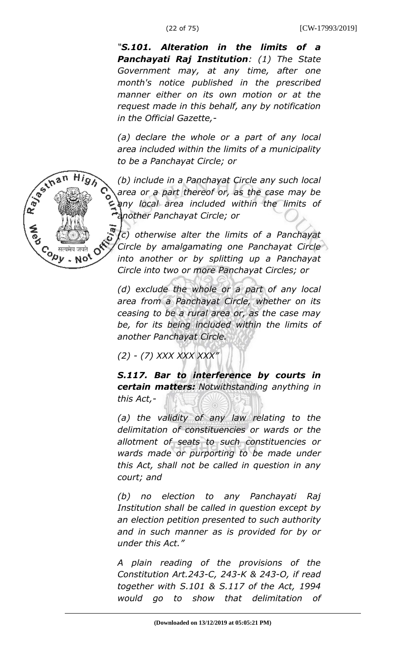*"S.101. Alteration in the limits of a Panchayati Raj Institution: (1) The State Government may, at any time, after one month's notice published in the prescribed manner either on its own motion or at the request made in this behalf, any by notification in the Official Gazette,-*

*(a) declare the whole or a part of any local area included within the limits of a municipality to be a Panchayat Circle; or*



*(b) include in a Panchayat Circle any such local area or a part thereof or, as the case may be any local area included within the limits of another Panchayat Circle; or*

*(c) otherwise alter the limits of a Panchayat Circle by amalgamating one Panchayat Circle into another or by splitting up a Panchayat Circle into two or more Panchayat Circles; or*

*(d) exclude the whole or a part of any local area from a Panchayat Circle, whether on its ceasing to be a rural area or, as the case may be, for its being included within the limits of another Panchayat Circle.*

*(2) - (7) XXX XXX XXX"*

*S.117. Bar to interference by courts in certain matters: Notwithstanding anything in this Act,-*

*(a) the validity of any law relating to the delimitation of constituencies or wards or the allotment of seats to such constituencies or wards made or purporting to be made under this Act, shall not be called in question in any court; and*

*(b) no election to any Panchayati Raj Institution shall be called in question except by an election petition presented to such authority and in such manner as is provided for by or under this Act."*

*A plain reading of the provisions of the Constitution Art.243-C, 243-K & 243-O, if read together with S.101 & S.117 of the Act, 1994 would go to show that delimitation of*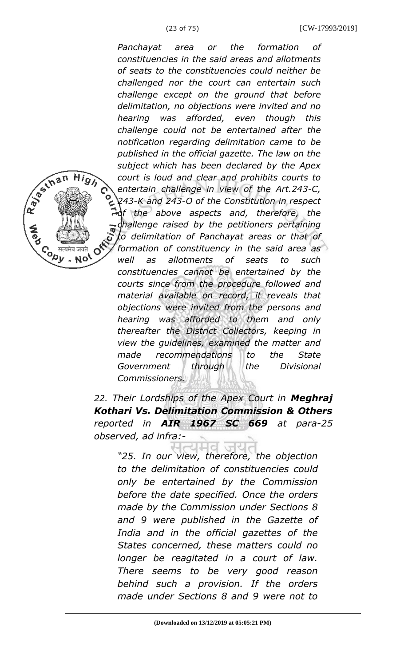*Panchayat area or the formation of constituencies in the said areas and allotments of seats to the constituencies could neither be challenged nor the court can entertain such challenge except on the ground that before delimitation, no objections were invited and no hearing was afforded, even though this challenge could not be entertained after the notification regarding delimitation came to be published in the official gazette. The law on the subject which has been declared by the Apex court is loud and clear and prohibits courts to entertain challenge in view of the Art.243-C, 243-K and 243-O of the Constitution in respect of the above aspects and, therefore, the challenge raised by the petitioners pertaining to delimitation of Panchayat areas or that of formation of constituency in the said area as well as allotments of seats to such constituencies cannot be entertained by the courts since from the procedure followed and material available on record, it reveals that objections were invited from the persons and hearing was afforded to them and only thereafter the District Collectors, keeping in view the guidelines, examined the matter and made recommendations to the State Government through the Divisional Commissioners.*

*22. Their Lordships of the Apex Court in Meghraj Kothari Vs. Delimitation Commission & Others reported in AIR 1967 SC 669 at para-25 observed, ad infra:-*

*"25. In our view, therefore, the objection to the delimitation of constituencies could only be entertained by the Commission before the date specified. Once the orders made by the Commission under Sections 8 and 9 were published in the Gazette of India and in the official gazettes of the States concerned, these matters could no longer be reagitated in a court of law. There seems to be very good reason behind such a provision. If the orders made under Sections 8 and 9 were not to*

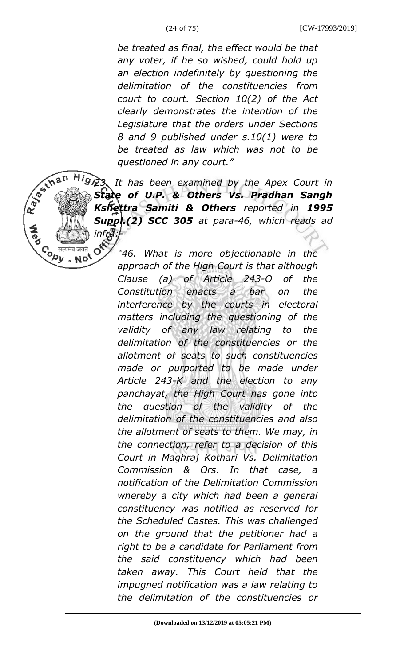*be treated as final, the effect would be that any voter, if he so wished, could hold up an election indefinitely by questioning the delimitation of the constituencies from court to court. Section 10(2) of the Act clearly demonstrates the intention of the Legislature that the orders under Sections 8 and 9 published under s.10(1) were to be treated as law which was not to be questioned in any court."*



*23. It has been examined by the Apex Court in State of U.P. & Others Vs. Pradhan Sangh Kshettra Samiti & Others reported in 1995 Suppl.(2) SCC 305 at para-46, which reads ad*

*"46. What is more objectionable in the approach of the High Court is that although Clause (a) of Article 243-O of the Constitution enacts a bar on the interference by the courts in electoral matters including the questioning of the validity of any law relating to the delimitation of the constituencies or the allotment of seats to such constituencies made or purported to be made under Article 243-K and the election to any panchayat, the High Court has gone into the question of the validity of the delimitation of the constituencies and also the allotment of seats to them. We may, in the connection, refer to a decision of this Court in Maghraj Kothari Vs. Delimitation Commission & Ors. In that case, a notification of the Delimitation Commission whereby a city which had been a general constituency was notified as reserved for the Scheduled Castes. This was challenged on the ground that the petitioner had a right to be a candidate for Parliament from the said constituency which had been taken away. This Court held that the impugned notification was a law relating to the delimitation of the constituencies or*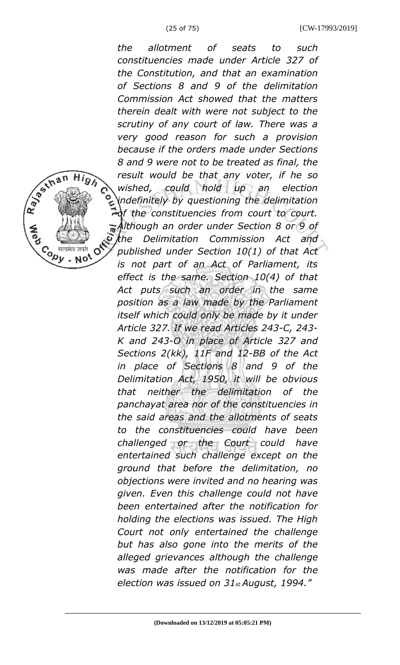*the allotment of seats to such constituencies made under Article 327 of the Constitution, and that an examination of Sections 8 and 9 of the delimitation Commission Act showed that the matters therein dealt with were not subject to the scrutiny of any court of law. There was a very good reason for such a provision because if the orders made under Sections 8 and 9 were not to be treated as final, the result would be that any voter, if he so wished, could hold up an election indefinitely by questioning the delimitation of the constituencies from court to court. Although an order under Section 8 or 9 of the Delimitation Commission Act and published under Section 10(1) of that Act is not part of an Act of Parliament, its effect is the same. Section 10(4) of that Act puts such an order in the same position as a law made by the Parliament itself which could only be made by it under Article 327. If we read Articles 243-C, 243- K and 243-O in place of Article 327 and Sections 2(kk), 11F and 12-BB of the Act in place of Sections 8 and 9 of the Delimitation Act, 1950, it will be obvious that neither the delimitation of the panchayat area nor of the constituencies in the said areas and the allotments of seats to the constituencies could have been challenged or the Court could have entertained such challenge except on the ground that before the delimitation, no objections were invited and no hearing was given. Even this challenge could not have been entertained after the notification for holding the elections was issued. The High Court not only entertained the challenge but has also gone into the merits of the alleged grievances although the challenge was made after the notification for the election was issued on 31st August, 1994."*

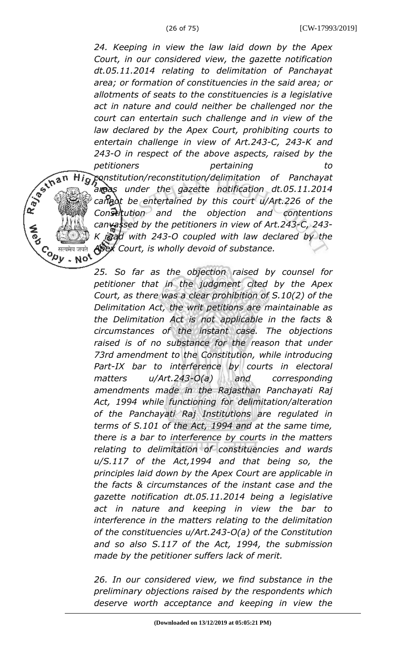R. Bestinan

Hj  $\mathbf{o}$ 

सत्यमेव जयते

*24. Keeping in view the law laid down by the Apex Court, in our considered view, the gazette notification dt.05.11.2014 relating to delimitation of Panchayat area; or formation of constituencies in the said area; or allotments of seats to the constituencies is a legislative act in nature and could neither be challenged nor the court can entertain such challenge and in view of the law declared by the Apex Court, prohibiting courts to entertain challenge in view of Art.243-C, 243-K and 243-O in respect of the above aspects, raised by the petitioners pertaining to constitution/reconstitution/delimitation of Panchayat areas under the gazette notification dt.05.11.2014 cannot be entertained by this court u/Art.226 of the Constitution and the objection and contentions canvassed by the petitioners in view of Art.243-C, 243*  $r$ *kad with 243-O coupled with law declared by the Apex Court, is wholly devoid of substance.*  $\overbrace{~~}^{\text{mean}}$  and  $\overbrace{~~}^{\text{mean}}$ 

*25. So far as the objection raised by counsel for petitioner that in the judgment cited by the Apex Court, as there was a clear prohibition of S.10(2) of the Delimitation Act, the writ petitions are maintainable as the Delimitation Act is not applicable in the facts & circumstances of the instant case. The objections raised is of no substance for the reason that under 73rd amendment to the Constitution, while introducing Part-IX bar to interference by courts in electoral matters u/Art.243-O(a) and corresponding amendments made in the Rajasthan Panchayati Raj Act, 1994 while functioning for delimitation/alteration of the Panchayati Raj Institutions are regulated in terms of S.101 of the Act, 1994 and at the same time, there is a bar to interference by courts in the matters relating to delimitation of constituencies and wards u/S.117 of the Act,1994 and that being so, the principles laid down by the Apex Court are applicable in the facts & circumstances of the instant case and the gazette notification dt.05.11.2014 being a legislative act in nature and keeping in view the bar to interference in the matters relating to the delimitation of the constituencies u/Art.243-O(a) of the Constitution and so also S.117 of the Act, 1994, the submission made by the petitioner suffers lack of merit.*

*26. In our considered view, we find substance in the preliminary objections raised by the respondents which deserve worth acceptance and keeping in view the*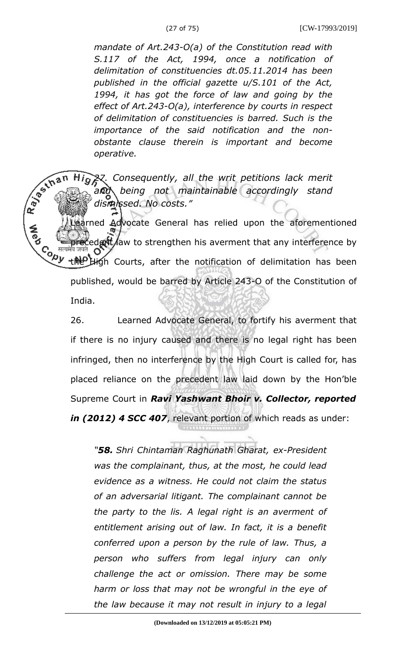*mandate of Art.243-O(a) of the Constitution read with S.117 of the Act, 1994, once a notification of delimitation of constituencies dt.05.11.2014 has been published in the official gazette u/S.101 of the Act, 1994, it has got the force of law and going by the effect of Art.243-O(a), interference by courts in respect of delimitation of constituencies is barred. Such is the importance of the said notification and the nonobstante clause therein is important and become operative.*

*27. Consequently, all the writ petitions lack merit and being not maintainable accordingly stand dismissed. No costs."*

Irned Advocate General has relied upon the aforementioned edent law to strengthen his averment that any interference by Co <sup>सल</sup><br>√ුර් the High Courts, after the notification of delimitation has been published, would be barred by Article 243-O of the Constitution of India.

26. Learned Advocate General, to fortify his averment that if there is no injury caused and there is no legal right has been infringed, then no interference by the High Court is called for, has placed reliance on the precedent law laid down by the Hon'ble Supreme Court in *Ravi Yashwant Bhoir v. Collector, reported in (2012) 4 SCC 407*, relevant portion of which reads as under:

*"58. Shri Chintaman Raghunath Gharat, ex-President was the complainant, thus, at the most, he could lead evidence as a witness. He could not claim the status of an adversarial litigant. The complainant cannot be the party to the lis. A legal right is an averment of entitlement arising out of law. In fact, it is a benefit conferred upon a person by the rule of law. Thus, a person who suffers from legal injury can only challenge the act or omission. There may be some harm or loss that may not be wrongful in the eye of the law because it may not result in injury to a legal*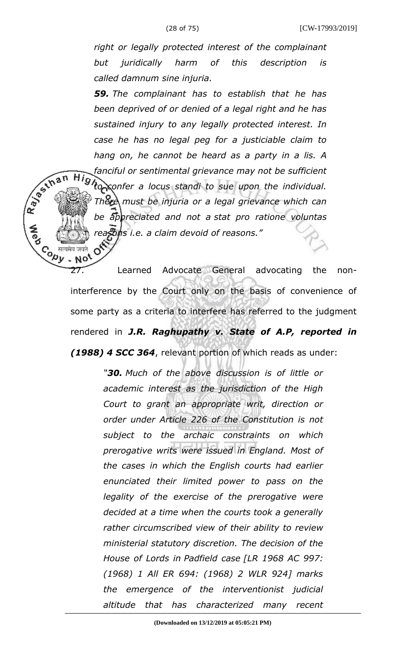*right or legally protected interest of the complainant but juridically harm of this description is called damnum sine injuria.*

*59. The complainant has to establish that he has been deprived of or denied of a legal right and he has sustained injury to any legally protected interest. In case he has no legal peg for a justiciable claim to hang on, he cannot be heard as a party in a lis. A fanciful or sentimental grievance may not be sufficient* High<sub>o</sub>confer a locus standi to sue upon the individual. *There must be injuria or a legal grievance which can be appreciated and not a stat pro ratione voluntas reasons i.e. a claim devoid of reasons."*

R BS IN B N

**CORY** 

- No

27. Learned Advocate General advocating the noninterference by the Court only on the basis of convenience of some party as a criteria to interfere has referred to the judgment rendered in *J.R. Raghupathy v. State of A.P, reported in (1988) 4 SCC 364*, relevant portion of which reads as under:

> *"30. Much of the above discussion is of little or academic interest as the jurisdiction of the High Court to grant an appropriate writ, direction or order under Article 226 of the Constitution is not subject to the archaic constraints on which prerogative writs were issued in England. Most of the cases in which the English courts had earlier enunciated their limited power to pass on the legality of the exercise of the prerogative were decided at a time when the courts took a generally rather circumscribed view of their ability to review ministerial statutory discretion. The decision of the House of Lords in Padfield case [LR 1968 AC 997: (1968) 1 All ER 694: (1968) 2 WLR 924] marks the emergence of the interventionist judicial altitude that has characterized many recent*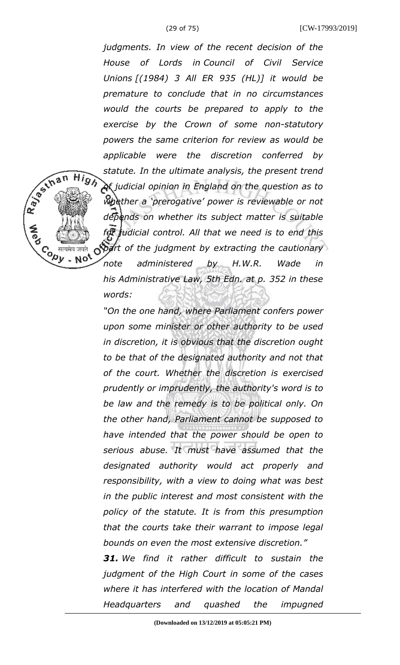R BS IN B N

**High** 

 $\mathcal{C}_{\rho}$  सत्यमेव जयते<br> $\mathcal{D}_{\nu}$  . No<sup>t</sup>

*judgments. In view of the recent decision of the House of Lords in Council of Civil Service Unions [(1984) 3 All ER 935 (HL)] it would be premature to conclude that in no circumstances would the courts be prepared to apply to the exercise by the Crown of some non-statutory powers the same criterion for review as would be applicable were the discretion conferred by statute. In the ultimate analysis, the present trend of judicial opinion in England on the question as to whether a 'prerogative' power is reviewable or not depends on whether its subject matter is suitable for judicial control. All that we need is to end this part of the judgment by extracting the cautionary note administered by H.W.R. Wade in his Administrative Law, 5th Edn. at p. 352 in these words:*

*"On the one hand, where Parliament confers power upon some minister or other authority to be used in discretion, it is obvious that the discretion ought to be that of the designated authority and not that of the court. Whether the discretion is exercised prudently or imprudently, the authority's word is to be law and the remedy is to be political only. On the other hand, Parliament cannot be supposed to have intended that the power should be open to serious abuse. It must have assumed that the designated authority would act properly and responsibility, with a view to doing what was best in the public interest and most consistent with the policy of the statute. It is from this presumption that the courts take their warrant to impose legal bounds on even the most extensive discretion." 31. We find it rather difficult to sustain the*

*judgment of the High Court in some of the cases where it has interfered with the location of Mandal Headquarters and quashed the impugned*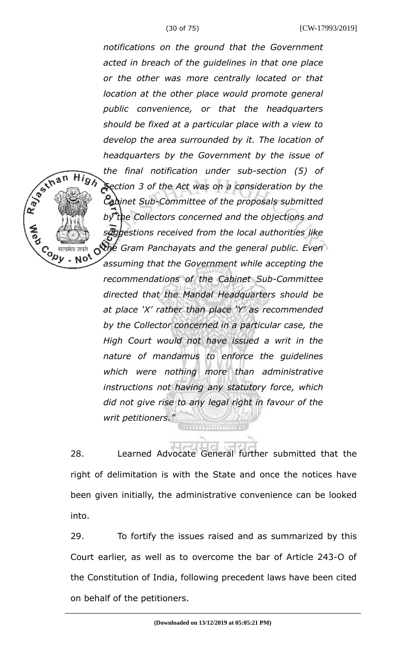**High** 

 $\overline{c}$  *erecard order*  $\overline{a}$ 

*notifications on the ground that the Government acted in breach of the guidelines in that one place or the other was more centrally located or that location at the other place would promote general public convenience, or that the headquarters should be fixed at a particular place with a view to develop the area surrounded by it. The location of headquarters by the Government by the issue of the final notification under sub-section (5) of Section 3 of the Act was on a consideration by the Cabinet Sub-Committee of the proposals submitted by the Collectors concerned and the objections and suggestions received from the local authorities like* o<sup>the</sup> Gram Panchayats and the general public. Even *assuming that the Government while accepting the recommendations of the Cabinet Sub-Committee directed that the Mandal Headquarters should be at place 'X' rather than place 'Y' as recommended by the Collector concerned in a particular case, the High Court would not have issued a writ in the nature of mandamus to enforce the guidelines which were nothing more than administrative instructions not having any statutory force, which did not give rise to any legal right in favour of the writ petitioners."*

28. Learned Advocate General further submitted that the right of delimitation is with the State and once the notices have been given initially, the administrative convenience can be looked into.

29. To fortify the issues raised and as summarized by this Court earlier, as well as to overcome the bar of Article 243-O of the Constitution of India, following precedent laws have been cited on behalf of the petitioners.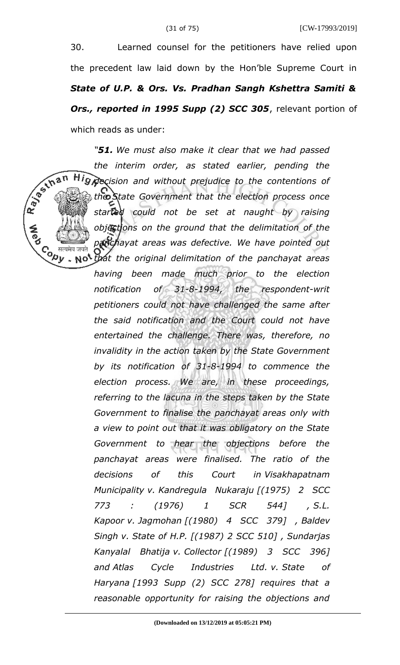30. Learned counsel for the petitioners have relied upon the precedent law laid down by the Hon'ble Supreme Court in *State of U.P. & Ors. Vs. Pradhan Sangh Kshettra Samiti & Ors., reported in 1995 Supp (2) SCC 305*, relevant portion of which reads as under:

*"51. We must also make it clear that we had passed* R 35 th an *the interim order, as stated earlier, pending the* Hig *decision and without prejudice to the contentions of the State Government that the election process once started could not be set at naught by raising objections on the ground that the delimitation of the panchayat areas was defective. We have pointed out that the original delimitation of the panchayat areas*

*having been made much prior to the election notification of 31-8-1994, the respondent-writ petitioners could not have challenged the same after the said notification and the Court could not have entertained the challenge. There was, therefore, no invalidity in the action taken by the State Government by its notification of 31-8-1994 to commence the election process. We are, in these proceedings, referring to the lacuna in the steps taken by the State Government to finalise the panchayat areas only with a view to point out that it was obligatory on the State Government to hear the objections before the panchayat areas were finalised. The ratio of the decisions of this Court in Visakhapatnam Municipality v. Kandregula Nukaraju [(1975) 2 SCC 773 : (1976) 1 SCR 544] , S.L. Kapoor v. Jagmohan [(1980) 4 SCC 379] , Baldev Singh v. State of H.P. [(1987) 2 SCC 510] , Sundarjas Kanyalal Bhatija v. Collector [(1989) 3 SCC 396] and Atlas Cycle Industries Ltd. v. State of Haryana [1993 Supp (2) SCC 278] requires that a reasonable opportunity for raising the objections and*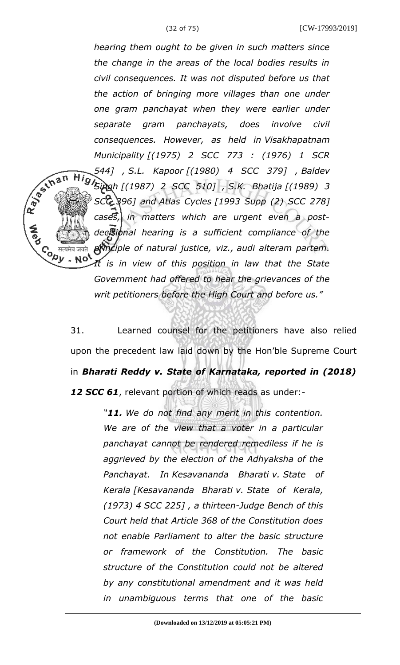*hearing them ought to be given in such matters since the change in the areas of the local bodies results in civil consequences. It was not disputed before us that the action of bringing more villages than one under one gram panchayat when they were earlier under separate gram panchayats, does involve civil consequences. However, as held in Visakhapatnam Municipality [(1975) 2 SCC 773 : (1976) 1 SCR 544] , S.L. Kapoor [(1980) 4 SCC 379] , Baldev Singh [(1987) 2 SCC 510] , S.K. Bhatija [(1989) 3 SCC 396] and Atlas Cycles [1993 Supp (2) SCC 278] cases, in matters which are urgent even a postdecisional hearing is a sufficient compliance of the principle of natural justice, viz., audi alteram partem.* Co सत्यमेव जयते<br>Version - Note *It is in view of this position in law that the State Government had offered to hear the grievances of the writ petitioners before the High Court and before us."*

R BS IN B N

31. Learned counsel for the petitioners have also relied upon the precedent law laid down by the Hon'ble Supreme Court in *Bharati Reddy v. State of Karnataka, reported in (2018) 12 SCC 61*, relevant portion of which reads as under:-

> *"11. We do not find any merit in this contention. We are of the view that a voter in a particular panchayat cannot be rendered remediless if he is aggrieved by the election of the Adhyaksha of the Panchayat. In Kesavananda Bharati v. State of Kerala [Kesavananda Bharati v. State of Kerala, (1973) 4 SCC 225] , a thirteen-Judge Bench of this Court held that Article 368 of the Constitution does not enable Parliament to alter the basic structure or framework of the Constitution. The basic structure of the Constitution could not be altered by any constitutional amendment and it was held in unambiguous terms that one of the basic*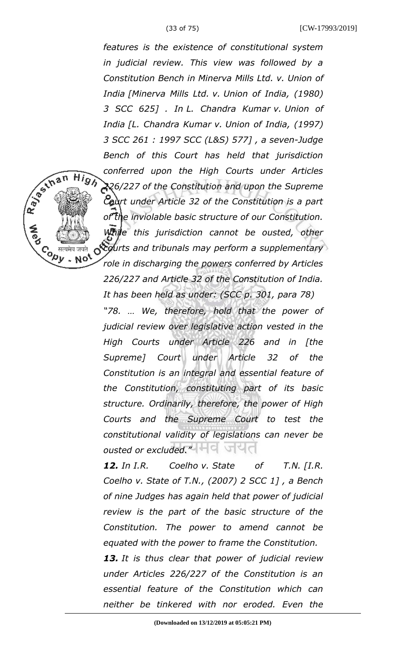High

 $\mathcal{C}_{\rho}$  सत्यमेव जयते<br> $\mathcal{D}_{\nu}$  . No<sup>t</sup>

*features is the existence of constitutional system in judicial review. This view was followed by a Constitution Bench in Minerva Mills Ltd. v. Union of India [Minerva Mills Ltd. v. Union of India, (1980) 3 SCC 625] . In L. Chandra Kumar v. Union of India [L. Chandra Kumar v. Union of India, (1997) 3 SCC 261 : 1997 SCC (L&S) 577] , a seven-Judge Bench of this Court has held that jurisdiction conferred upon the High Courts under Articles 226/227 of the Constitution and upon the Supreme Court under Article 32 of the Constitution is a part of the inviolable basic structure of our Constitution. While this jurisdiction cannot be ousted, other courts and tribunals may perform a supplementary role in discharging the powers conferred by Articles 226/227 and Article 32 of the Constitution of India. It has been held as under: (SCC p. 301, para 78) "78. … We, therefore, hold that the power of*

*judicial review over legislative action vested in the High Courts under Article 226 and in [the Supreme] Court under Article 32 of the Constitution is an integral and essential feature of the Constitution, constituting part of its basic structure. Ordinarily, therefore, the power of High Courts and the Supreme Court to test the constitutional validity of legislations can never be ousted or excluded.* 

*12. In I.R. Coelho v. State of T.N. [I.R. Coelho v. State of T.N., (2007) 2 SCC 1] , a Bench of nine Judges has again held that power of judicial review is the part of the basic structure of the Constitution. The power to amend cannot be equated with the power to frame the Constitution.*

*13. It is thus clear that power of judicial review under Articles 226/227 of the Constitution is an essential feature of the Constitution which can neither be tinkered with nor eroded. Even the*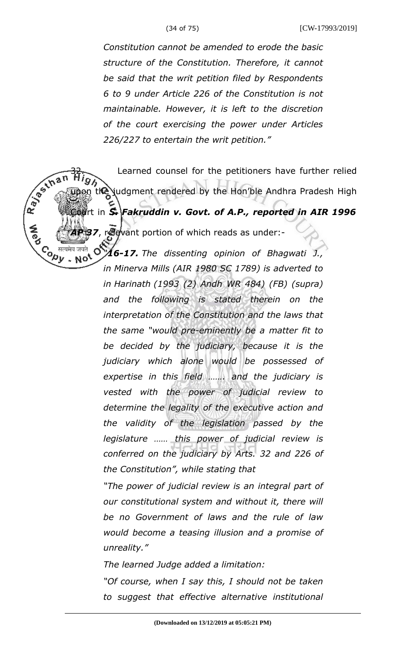*Constitution cannot be amended to erode the basic structure of the Constitution. Therefore, it cannot be said that the writ petition filed by Respondents 6 to 9 under Article 226 of the Constitution is not maintainable. However, it is left to the discretion of the court exercising the power under Articles 226/227 to entertain the writ petition."*

Learned counsel for the petitioners have further relied the judgment rendered by the Hon'ble Andhra Pradesh High rt in **S. Fakruddin v. Govt. of A.P., reported in AIR 1996 7**, relevant portion of which reads as under:-Contre मेव जयते **्री**<br>• No<sup>t</sup> *"16-17. The dissenting opinion of Bhagwati J.,*

*in Minerva Mills (AIR 1980 SC 1789) is adverted to in Harinath (1993 (2) Andh WR 484) (FB) (supra) and the following is stated therein on the interpretation of the Constitution and the laws that the same "would pre-eminently be a matter fit to be decided by the judiciary, because it is the judiciary which alone would be possessed of expertise in this field ……. and the judiciary is vested with the power of judicial review to determine the legality of the executive action and the validity of the legislation passed by the legislature …… this power of judicial review is conferred on the judiciary by Arts. 32 and 226 of the Constitution", while stating that*

*"The power of judicial review is an integral part of our constitutional system and without it, there will be no Government of laws and the rule of law would become a teasing illusion and a promise of unreality."*

*The learned Judge added a limitation:*

*"Of course, when I say this, I should not be taken to suggest that effective alternative institutional*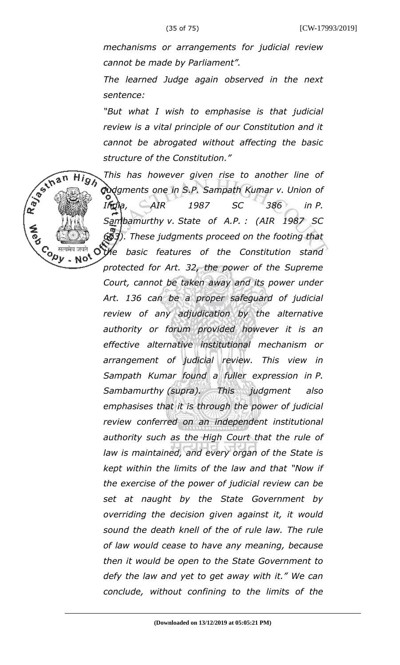R 30 S In a n

Co सत्यमेव जयते<br>Version Not

High

*mechanisms or arrangements for judicial review cannot be made by Parliament".*

*The learned Judge again observed in the next sentence:*

*"But what I wish to emphasise is that judicial review is a vital principle of our Constitution and it cannot be abrogated without affecting the basic structure of the Constitution."*

*This has however given rise to another line of judgments one in S.P. Sampath Kumar v. Union of India, AIR 1987 SC 386 in P. Sambamurthy v. State of A.P. : (AIR 1987 SC 663). These judgments proceed on the footing that the basic features of the Constitution stand* Ő *protected for Art. 32, the power of the Supreme Court, cannot be taken away and its power under Art. 136 can be a proper safeguard of judicial review of any adjudication by the alternative authority or forum provided however it is an effective alternative institutional mechanism or arrangement of judicial review. This view in Sampath Kumar found a fuller expression in P. Sambamurthy (supra). This judgment also emphasises that it is through the power of judicial review conferred on an independent institutional authority such as the High Court that the rule of law is maintained, and every organ of the State is kept within the limits of the law and that "Now if the exercise of the power of judicial review can be set at naught by the State Government by overriding the decision given against it, it would sound the death knell of the of rule law. The rule of law would cease to have any meaning, because then it would be open to the State Government to defy the law and yet to get away with it." We can conclude, without confining to the limits of the*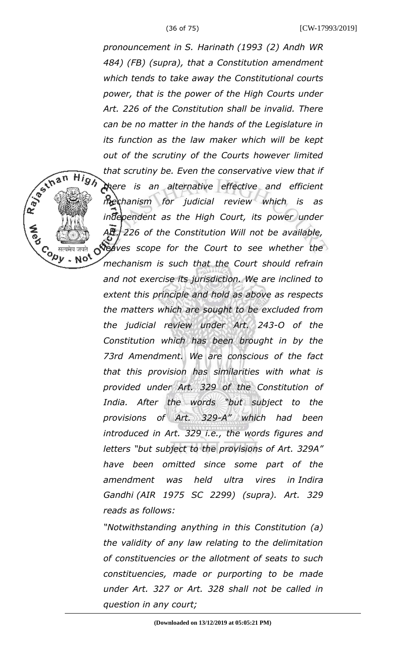Repair High

Co सत्यमेव जयते<br>Version Note

*pronouncement in S. Harinath (1993 (2) Andh WR 484) (FB) (supra), that a Constitution amendment which tends to take away the Constitutional courts power, that is the power of the High Courts under Art. 226 of the Constitution shall be invalid. There can be no matter in the hands of the Legislature in its function as the law maker which will be kept out of the scrutiny of the Courts however limited that scrutiny be. Even the conservative view that if there is an alternative effective and efficient mechanism for judicial review which is as independent as the High Court, its power under Art. 226 of the Constitution Will not be available, digaves scope for the Court to see whether the mechanism is such that the Court should refrain and not exercise its jurisdiction. We are inclined to extent this principle and hold as above as respects the matters which are sought to be excluded from the judicial review under Art. 243-O of the Constitution which has been brought in by the 73rd Amendment. We are conscious of the fact that this provision has similarities with what is provided under Art. 329 of the Constitution of India. After the words "but subject to the provisions of Art. 329-A" which had been introduced in Art. 329 i.e., the words figures and letters "but subject to the provisions of Art. 329A" have been omitted since some part of the amendment was held ultra vires in Indira Gandhi (AIR 1975 SC 2299) (supra). Art. 329 reads as follows:*

*"Notwithstanding anything in this Constitution (a) the validity of any law relating to the delimitation of constituencies or the allotment of seats to such constituencies, made or purporting to be made under Art. 327 or Art. 328 shall not be called in question in any court;*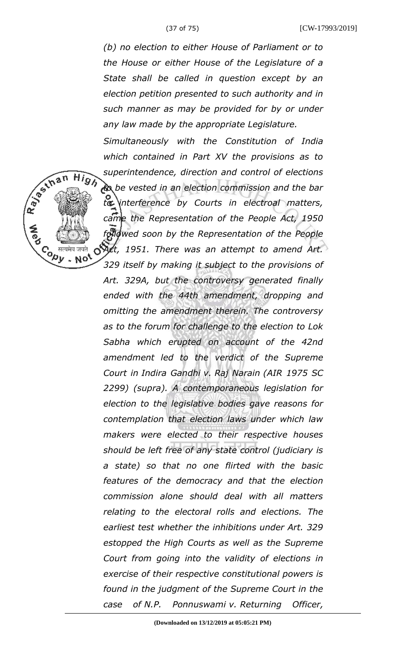(37 of 75) [CW-17993/2019]

*(b) no election to either House of Parliament or to the House or either House of the Legislature of a State shall be called in question except by an election petition presented to such authority and in such manner as may be provided for by or under any law made by the appropriate Legislature.*

*Simultaneously with the Constitution of India which contained in Part XV the provisions as to superintendence, direction and control of elections to be vested in an election commission and the bar to interference by Courts in electroal matters,*

*came the Representation of the People Act, 1950 followed soon by the Representation of the People Act, 1951. There was an attempt to amend Art. 329 itself by making it subject to the provisions of Art. 329A, but the controversy generated finally ended with the 44th amendment, dropping and omitting the amendment therein. The controversy as to the forum for challenge to the election to Lok Sabha which erupted on account of the 42nd amendment led to the verdict of the Supreme Court in Indira Gandhi v. Raj Narain (AIR 1975 SC 2299) (supra). A contemporaneous legislation for election to the legislative bodies gave reasons for contemplation that election laws under which law makers were elected to their respective houses should be left free of any state control (judiciary is a state) so that no one flirted with the basic features of the democracy and that the election commission alone should deal with all matters relating to the electoral rolls and elections. The earliest test whether the inhibitions under Art. 329 estopped the High Courts as well as the Supreme Court from going into the validity of elections in exercise of their respective constitutional powers is found in the judgment of the Supreme Court in the case of N.P. Ponnuswami v. Returning Officer,*

**High**  $\mathcal{C}_{\rho}$  सत्यमेव जयते<br> $\mathcal{D}_{\nu}$  . No<sup>t</sup>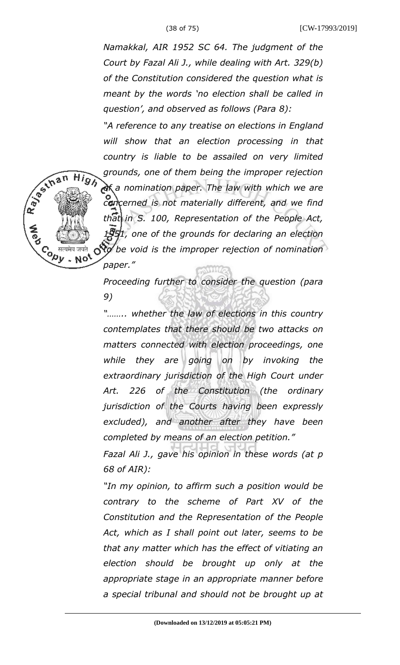R 30 In an

Co सत्यमेव जयते<br>Version Note<br>Version Note

**High** 

 $\circ$ 

*Namakkal, AIR 1952 SC 64. The judgment of the Court by Fazal Ali J., while dealing with Art. 329(b) of the Constitution considered the question what is meant by the words 'no election shall be called in question', and observed as follows (Para 8):*

*"A reference to any treatise on elections in England will show that an election processing in that country is liable to be assailed on very limited grounds, one of them being the improper rejection of a nomination paper. The law with which we are concerned is not materially different, and we find that in S. 100, Representation of the People Act, 1951, one of the grounds for declaring an election to be void is the improper rejection of nomination paper."*

*Proceeding further to consider the question (para 9)*

*"…….. whether the law of elections in this country contemplates that there should be two attacks on matters connected with election proceedings, one while they are going on by invoking the extraordinary jurisdiction of the High Court under Art. 226 of the Constitution (the ordinary jurisdiction of the Courts having been expressly excluded), and another after they have been completed by means of an election petition."*

*Fazal Ali J., gave his opinion in these words (at p 68 of AIR):*

*"In my opinion, to affirm such a position would be contrary to the scheme of Part XV of the Constitution and the Representation of the People Act, which as I shall point out later, seems to be that any matter which has the effect of vitiating an election should be brought up only at the appropriate stage in an appropriate manner before a special tribunal and should not be brought up at*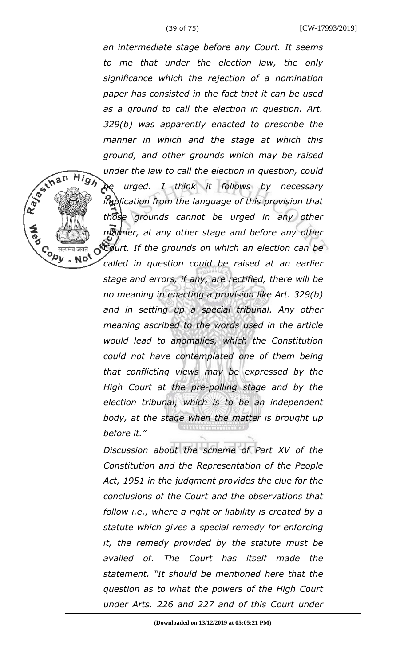R 30 S In a n

 $\mathcal{C}_{\rho}$  सत्यमेव जयते<br> $\mathcal{D}_{\nu}$  . No<sup>t</sup>

**High** 

*an intermediate stage before any Court. It seems to me that under the election law, the only significance which the rejection of a nomination paper has consisted in the fact that it can be used as a ground to call the election in question. Art. 329(b) was apparently enacted to prescribe the manner in which and the stage at which this ground, and other grounds which may be raised under the law to call the election in question, could be urged. I think it follows by necessary implication from the language of this provision that those grounds cannot be urged in any other manner, at any other stage and before any other Court. If the grounds on which an election can be*  $\circ$ *called in question could be raised at an earlier stage and errors, if any, are rectified, there will be no meaning in enacting a provision like Art. 329(b) and in setting up a special tribunal. Any other meaning ascribed to the words used in the article would lead to anomalies, which the Constitution could not have contemplated one of them being that conflicting views may be expressed by the High Court at the pre-polling stage and by the election tribunal, which is to be an independent body, at the stage when the matter is brought up before it."*

*Discussion about the scheme of Part XV of the Constitution and the Representation of the People Act, 1951 in the judgment provides the clue for the conclusions of the Court and the observations that follow i.e., where a right or liability is created by a statute which gives a special remedy for enforcing it, the remedy provided by the statute must be availed of. The Court has itself made the statement. "It should be mentioned here that the question as to what the powers of the High Court under Arts. 226 and 227 and of this Court under*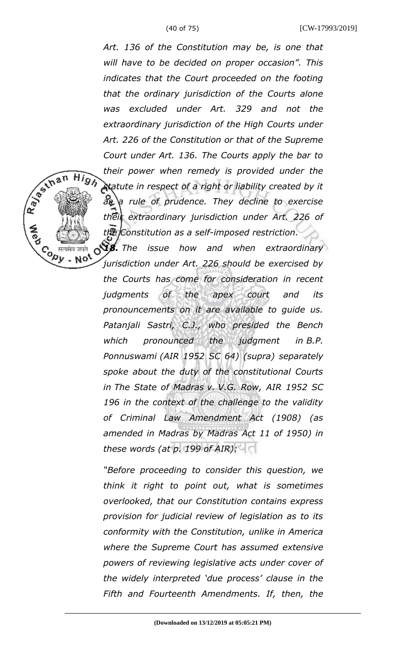R 30 S In a n

Co सत्यमेव जयते<br>Version Note

**High** 

*Art. 136 of the Constitution may be, is one that will have to be decided on proper occasion". This indicates that the Court proceeded on the footing that the ordinary jurisdiction of the Courts alone was excluded under Art. 329 and not the extraordinary jurisdiction of the High Courts under Art. 226 of the Constitution or that of the Supreme Court under Art. 136. The Courts apply the bar to their power when remedy is provided under the statute in respect of a right or liability created by it as a rule of prudence. They decline to exercise their extraordinary jurisdiction under Art. 226 of the Constitution as a self-imposed restriction.*

*18. The issue how and when extraordinary jurisdiction under Art. 226 should be exercised by the Courts has come for consideration in recent judgments of the apex court and its pronouncements on it are available to guide us. Patanjali Sastri, C.J., who presided the Bench which pronounced the judgment in B.P. Ponnuswami (AIR 1952 SC 64) (supra) separately spoke about the duty of the constitutional Courts in The State of Madras v. V.G. Row, AIR 1952 SC 196 in the context of the challenge to the validity of Criminal Law Amendment Act (1908) (as amended in Madras by Madras Act 11 of 1950) in these words (at p. 199 of AIR):*

*"Before proceeding to consider this question, we think it right to point out, what is sometimes overlooked, that our Constitution contains express provision for judicial review of legislation as to its conformity with the Constitution, unlike in America where the Supreme Court has assumed extensive powers of reviewing legislative acts under cover of the widely interpreted 'due process' clause in the Fifth and Fourteenth Amendments. If, then, the*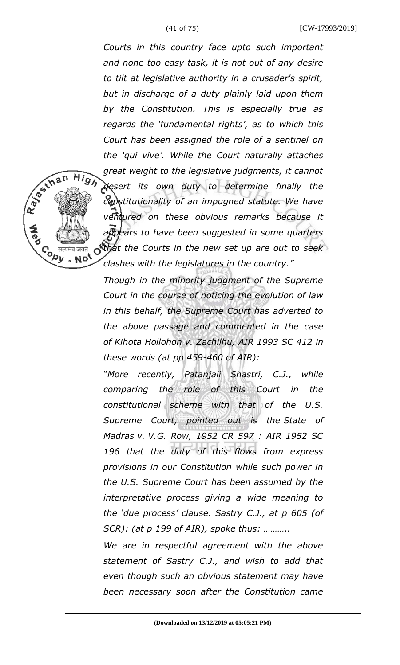R BS IN B N

**High** 

Co सत्यमेव जयते<br>Version Note<br>Version Note

*Courts in this country face upto such important and none too easy task, it is not out of any desire to tilt at legislative authority in a crusader's spirit, but in discharge of a duty plainly laid upon them by the Constitution. This is especially true as regards the 'fundamental rights', as to which this Court has been assigned the role of a sentinel on the 'qui vive'. While the Court naturally attaches great weight to the legislative judgments, it cannot desert its own duty to determine finally the constitutionality of an impugned statute. We have ventured on these obvious remarks because it appears to have been suggested in some quarters that the Courts in the new set up are out to seek clashes with the legislatures in the country."*

*Though in the minority judgment of the Supreme Court in the course of noticing the evolution of law in this behalf, the Supreme Court has adverted to the above passage and commented in the case of Kihota Hollohon v. Zachilhu, AIR 1993 SC 412 in these words (at pp 459-460 of AIR):*

*"More recently, Patanjali Shastri, C.J., while comparing the role of this Court in the constitutional scheme with that of the U.S. Supreme Court, pointed out is the State of Madras v. V.G. Row, 1952 CR 597 : AIR 1952 SC 196 that the duty of this flows from express provisions in our Constitution while such power in the U.S. Supreme Court has been assumed by the interpretative process giving a wide meaning to the 'due process' clause. Sastry C.J., at p 605 (of SCR): (at p 199 of AIR), spoke thus: ………..*

*We are in respectful agreement with the above statement of Sastry C.J., and wish to add that even though such an obvious statement may have been necessary soon after the Constitution came*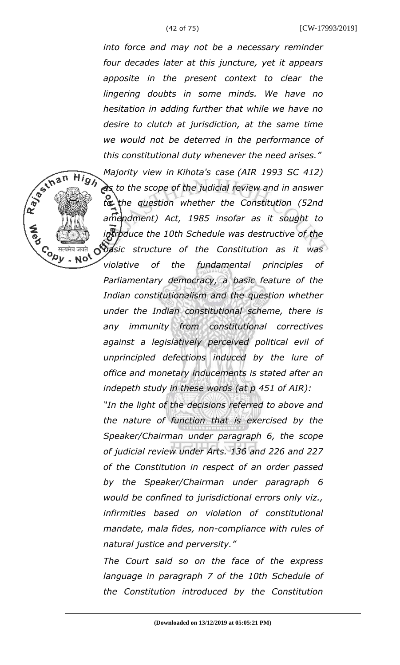**High** 

Co सत्यमेव जयते<br>Version Note<br>Version Note

*into force and may not be a necessary reminder four decades later at this juncture, yet it appears apposite in the present context to clear the lingering doubts in some minds. We have no hesitation in adding further that while we have no desire to clutch at jurisdiction, at the same time we would not be deterred in the performance of this constitutional duty whenever the need arises."*

*Majority view in Kihota's case (AIR 1993 SC 412) as to the scope of the judicial review and in answer to the question whether the Constitution (52nd amendment) Act, 1985 insofar as it sought to introduce the 10th Schedule was destructive of the basic structure of the Constitution as it was violative of the fundamental principles of Parliamentary democracy, a basic feature of the Indian constitutionalism and the question whether*

*under the Indian constitutional scheme, there is any immunity from constitutional correctives against a legislatively perceived political evil of unprincipled defections induced by the lure of office and monetary inducements is stated after an indepeth study in these words (at p 451 of AIR):*

*"In the light of the decisions referred to above and the nature of function that is exercised by the Speaker/Chairman under paragraph 6, the scope of judicial review under Arts. 136 and 226 and 227 of the Constitution in respect of an order passed by the Speaker/Chairman under paragraph 6 would be confined to jurisdictional errors only viz., infirmities based on violation of constitutional mandate, mala fides, non-compliance with rules of natural justice and perversity."*

*The Court said so on the face of the express language in paragraph 7 of the 10th Schedule of the Constitution introduced by the Constitution*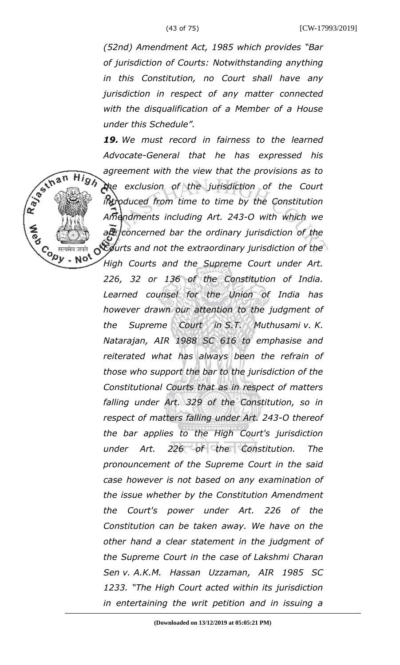Repair High

 $\mathcal{C}_{\rho}$  सत्यमेव जयते<br> $\mathcal{D}_{\nu}$  . No<sup>t</sup>

 $\infty$ 

*(52nd) Amendment Act, 1985 which provides "Bar of jurisdiction of Courts: Notwithstanding anything in this Constitution, no Court shall have any jurisdiction in respect of any matter connected with the disqualification of a Member of a House under this Schedule".*

*19. We must record in fairness to the learned Advocate-General that he has expressed his agreement with the view that the provisions as to the exclusion of the jurisdiction of the Court introduced from time to time by the Constitution Amendments including Art. 243-O with which we are concerned bar the ordinary jurisdiction of the*

*Courts and not the extraordinary jurisdiction of the High Courts and the Supreme Court under Art. 226, 32 or 136 of the Constitution of India. Learned counsel for the Union of India has however drawn our attention to the judgment of the Supreme Court in S.T. Muthusami v. K. Natarajan, AIR 1988 SC 616 to emphasise and reiterated what has always been the refrain of those who support the bar to the jurisdiction of the Constitutional Courts that as in respect of matters falling under Art. 329 of the Constitution, so in respect of matters falling under Art. 243-O thereof the bar applies to the High Court's jurisdiction under Art. 226 of the Constitution. The pronouncement of the Supreme Court in the said case however is not based on any examination of the issue whether by the Constitution Amendment the Court's power under Art. 226 of the Constitution can be taken away. We have on the other hand a clear statement in the judgment of the Supreme Court in the case of Lakshmi Charan Sen v. A.K.M. Hassan Uzzaman, AIR 1985 SC 1233. "The High Court acted within its jurisdiction in entertaining the writ petition and in issuing a*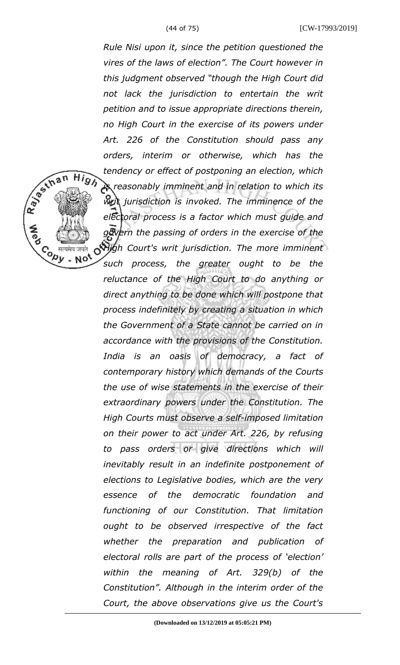**High** 

 $\mathcal{C}_{\rho}$  सत्यमेव जयते<br> $\mathcal{D}_{\nu}$  . No<sup>t</sup>

*Rule Nisi upon it, since the petition questioned the vires of the laws of election". The Court however in this judgment observed "though the High Court did not lack the jurisdiction to entertain the writ petition and to issue appropriate directions therein, no High Court in the exercise of its powers under Art. 226 of the Constitution should pass any orders, interim or otherwise, which has the tendency or effect of postponing an election, which is reasonably imminent and in relation to which its writ jurisdiction is invoked. The imminence of the electoral process is a factor which must guide and govern the passing of orders in the exercise of the High Court's writ jurisdiction. The more imminent such process, the greater ought to be the reluctance of the High Court to do anything or direct anything to be done which will postpone that process indefinitely by creating a situation in which the Government of a State cannot be carried on in accordance with the provisions of the Constitution. India is an oasis of democracy, a fact of contemporary history which demands of the Courts the use of wise statements in the exercise of their extraordinary powers under the Constitution. The High Courts must observe a self-imposed limitation on their power to act under Art. 226, by refusing to pass orders or give directions which will inevitably result in an indefinite postponement of elections to Legislative bodies, which are the very essence of the democratic foundation and functioning of our Constitution. That limitation ought to be observed irrespective of the fact whether the preparation and publication of electoral rolls are part of the process of 'election' within the meaning of Art. 329(b) of the Constitution". Although in the interim order of the Court, the above observations give us the Court's*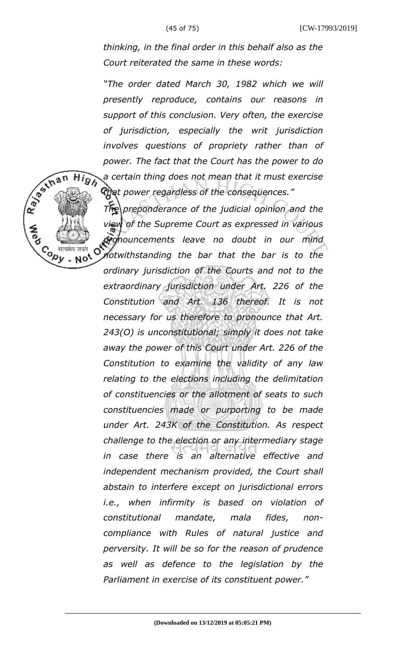**High** 

 $\mathcal{C}_{\rho}$  सत्यमेव जयते<br> $\mathcal{D}_{\nu}$  . No<sup>t</sup>

*thinking, in the final order in this behalf also as the Court reiterated the same in these words:*

*"The order dated March 30, 1982 which we will presently reproduce, contains our reasons in support of this conclusion. Very often, the exercise of jurisdiction, especially the writ jurisdiction involves questions of propriety rather than of power. The fact that the Court has the power to do a certain thing does not mean that it must exercise that power regardless of the consequences."*

*The preponderance of the judicial opinion and the view of the Supreme Court as expressed in various pronouncements leave no doubt in our mind* O *notwithstanding the bar that the bar is to the ordinary jurisdiction of the Courts and not to the extraordinary jurisdiction under Art. 226 of the Constitution and Art. 136 thereof. It is not necessary for us therefore to pronounce that Art. 243(O) is unconstitutional; simply it does not take away the power of this Court under Art. 226 of the Constitution to examine the validity of any law relating to the elections including the delimitation of constituencies or the allotment of seats to such constituencies made or purporting to be made under Art. 243K of the Constitution. As respect challenge to the election or any intermediary stage in case there is an alternative effective and independent mechanism provided, the Court shall abstain to interfere except on jurisdictional errors i.e., when infirmity is based on violation of constitutional mandate, mala fides, noncompliance with Rules of natural justice and perversity. It will be so for the reason of prudence as well as defence to the legislation by the Parliament in exercise of its constituent power."*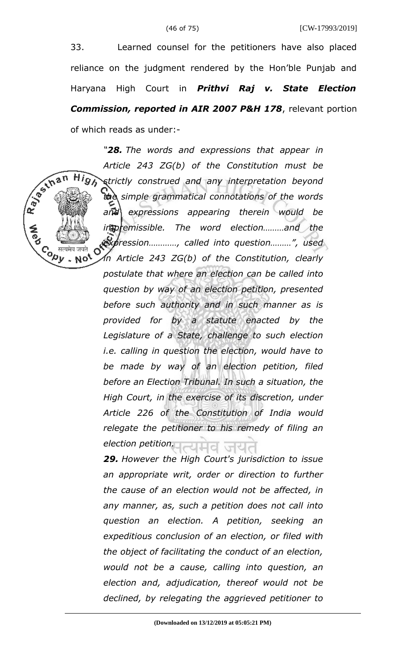33. Learned counsel for the petitioners have also placed reliance on the judgment rendered by the Hon'ble Punjab and Haryana High Court in *Prithvi Raj v. State Election Commission, reported in AIR 2007 P&H 178*, relevant portion of which reads as under:-

*"28. The words and expressions that appear in Article 243 ZG(b) of the Constitution must be*  $Hig$ *strictly construed and any interpretation beyond the simple grammatical connotations of the words and expressions appearing therein would be impremissible. The word election………and the expression…………, called into question………", used*  $\mathcal{C}_{\pmb{\rho} \pmb{y}}$  , Not  $\mathcal{C}$ 

R 35 In an

*in Article 243 ZG(b) of the Constitution, clearly postulate that where an election can be called into question by way of an election petition, presented before such authority and in such manner as is provided for by a statute enacted by the Legislature of a State, challenge to such election i.e. calling in question the election, would have to be made by way of an election petition, filed before an Election Tribunal. In such a situation, the High Court, in the exercise of its discretion, under Article 226 of the Constitution of India would relegate the petitioner to his remedy of filing an election petition.* 

*29. However the High Court's jurisdiction to issue an appropriate writ, order or direction to further the cause of an election would not be affected, in any manner, as, such a petition does not call into question an election. A petition, seeking an expeditious conclusion of an election, or filed with the object of facilitating the conduct of an election, would not be a cause, calling into question, an election and, adjudication, thereof would not be declined, by relegating the aggrieved petitioner to*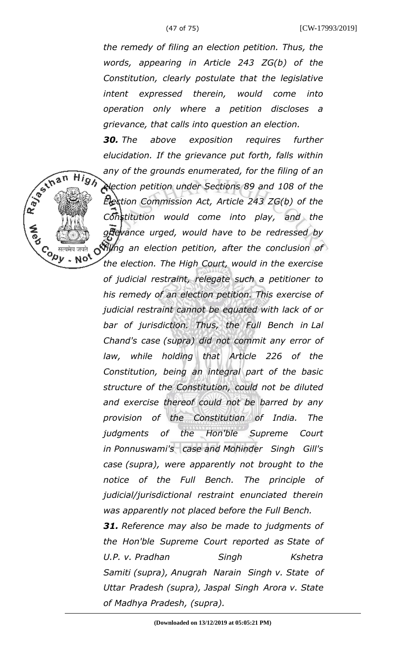R 35 man

 $\mathcal{C}_{\rho}$  सत्यमेव जयते<br> $\mathcal{D}_{\nu}$  . No<sup>t</sup>

**High** 

(47 of 75) [CW-17993/2019]

*the remedy of filing an election petition. Thus, the words, appearing in Article 243 ZG(b) of the Constitution, clearly postulate that the legislative intent expressed therein, would come into operation only where a petition discloses a grievance, that calls into question an election.* 

*30. The above exposition requires further elucidation. If the grievance put forth, falls within any of the grounds enumerated, for the filing of an election petition under Sections 89 and 108 of the Election Commission Act, Article 243 ZG(b) of the Constitution would come into play, and the grievance urged, would have to be redressed by*

*filing an election petition, after the conclusion of the election. The High Court, would in the exercise of judicial restraint, relegate such a petitioner to his remedy of an election petition. This exercise of judicial restraint cannot be equated with lack of or bar of jurisdiction. Thus, the Full Bench in Lal Chand's case (supra) did not commit any error of law, while holding that Article 226 of the Constitution, being an integral part of the basic structure of the Constitution, could not be diluted and exercise thereof could not be barred by any provision of the Constitution of India. The judgments of the Hon'ble Supreme Court in Ponnuswami's case and Mohinder Singh Gill's case (supra), were apparently not brought to the notice of the Full Bench. The principle of judicial/jurisdictional restraint enunciated therein was apparently not placed before the Full Bench.* 

*31. Reference may also be made to judgments of the Hon'ble Supreme Court reported as State of U.P. v. Pradhan Singh Kshetra Samiti (supra), Anugrah Narain Singh v. State of Uttar Pradesh (supra), Jaspal Singh Arora v. State of Madhya Pradesh, (supra).*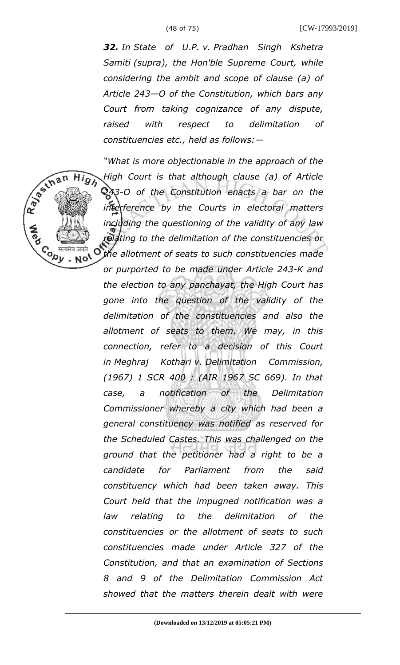(48 of 75) [CW-17993/2019]

*32. In State of U.P. v. Pradhan Singh Kshetra Samiti (supra), the Hon'ble Supreme Court, while considering the ambit and scope of clause (a) of Article 243—O of the Constitution, which bars any Court from taking cognizance of any dispute, raised with respect to delimitation of constituencies etc., held as follows:—*

R. Bertham High *"What is more objectionable in the approach of the High Court is that although clause (a) of Article 243-O of the Constitution enacts a bar on the interference by the Courts in electoral matters including the questioning of the validity of any law relating to the delimitation of the constituencies or* Co सत्यमेव जयते<br>Version Not Ő *the allotment of seats to such constituencies made or purported to be made under Article 243-K and the election to any panchayat, the High Court has gone into the question of the validity of the delimitation of the constituencies and also the allotment of seats to them. We may, in this connection, refer to a decision of this Court in Meghraj Kothari v. Delimitation Commission, (1967) 1 SCR 400 : (AIR 1967 SC 669). In that case, a notification of the Delimitation Commissioner whereby a city which had been a general constituency was notified as reserved for the Scheduled Castes. This was challenged on the ground that the petitioner had a right to be a candidate for Parliament from the said constituency which had been taken away. This Court held that the impugned notification was a law relating to the delimitation of the constituencies or the allotment of seats to such constituencies made under Article 327 of the Constitution, and that an examination of Sections 8 and 9 of the Delimitation Commission Act showed that the matters therein dealt with were*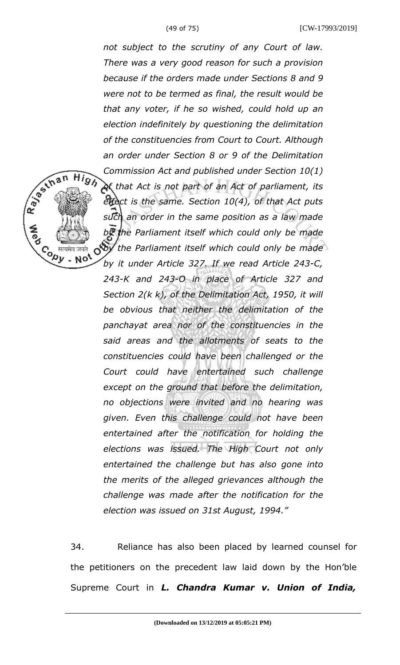R BS IN B N

**High** 

 $\mathcal{C}_{\rho}$  सत्यमेव जयते<br> $\mathcal{D}_{\nu}$  . No<sup>t</sup>

*not subject to the scrutiny of any Court of law. There was a very good reason for such a provision because if the orders made under Sections 8 and 9 were not to be termed as final, the result would be that any voter, if he so wished, could hold up an election indefinitely by questioning the delimitation of the constituencies from Court to Court. Although an order under Section 8 or 9 of the Delimitation Commission Act and published under Section 10(1) of that Act is not part of an Act of parliament, its effect is the same. Section 10(4), of that Act puts such an order in the same position as a law made by the Parliament itself which could only be made by the Parliament itself which could only be made by it under Article 327. If we read Article 243-C, 243-K and 243-O in place of Article 327 and Section 2(k k), of the Delimitation Act, 1950, it will be obvious that neither the delimitation of the panchayat area nor of the constituencies in the said areas and the allotments of seats to the constituencies could have been challenged or the Court could have entertained such challenge except on the ground that before the delimitation, no objections were invited and no hearing was given. Even this challenge could not have been entertained after the notification for holding the elections was issued. The High Court not only entertained the challenge but has also gone into the merits of the alleged grievances although the challenge was made after the notification for the election was issued on 31st August, 1994."*

34. Reliance has also been placed by learned counsel for the petitioners on the precedent law laid down by the Hon'ble Supreme Court in *L. Chandra Kumar v. Union of India,*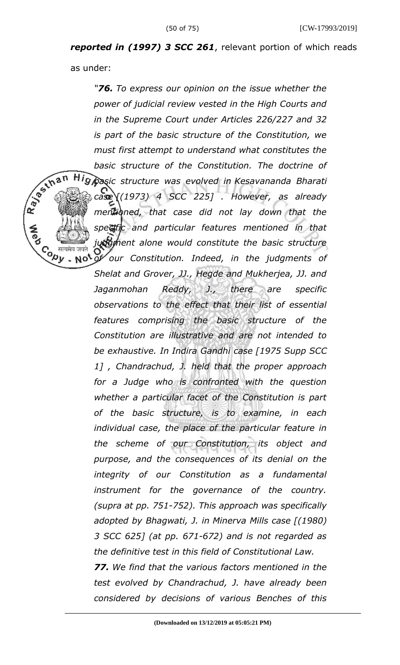*reported in (1997) 3 SCC 261*, relevant portion of which reads

as under:

**Copy** 

*"76. To express our opinion on the issue whether the power of judicial review vested in the High Courts and in the Supreme Court under Articles 226/227 and 32 is part of the basic structure of the Constitution, we must first attempt to understand what constitutes the basic structure of the Constitution. The doctrine of*

*basic structure was evolved in Kesavananda Bharati case [(1973) 4 SCC 225] . However, as already mentioned, that case did not lay down that the specific and particular features mentioned in that judgment alone would constitute the basic structure of our Constitution. Indeed, in the judgments of*

 $\sim$  Not *Shelat and Grover, JJ., Hegde and Mukherjea, JJ. and Jaganmohan Reddy, J., there are specific observations to the effect that their list of essential features comprising the basic structure of the Constitution are illustrative and are not intended to be exhaustive. In Indira Gandhi case [1975 Supp SCC 1] , Chandrachud, J. held that the proper approach for a Judge who is confronted with the question whether a particular facet of the Constitution is part of the basic structure, is to examine, in each individual case, the place of the particular feature in the scheme of our Constitution, its object and purpose, and the consequences of its denial on the integrity of our Constitution as a fundamental instrument for the governance of the country. (supra at pp. 751-752). This approach was specifically adopted by Bhagwati, J. in Minerva Mills case [(1980) 3 SCC 625] (at pp. 671-672) and is not regarded as the definitive test in this field of Constitutional Law.* 

*77. We find that the various factors mentioned in the test evolved by Chandrachud, J. have already been considered by decisions of various Benches of this*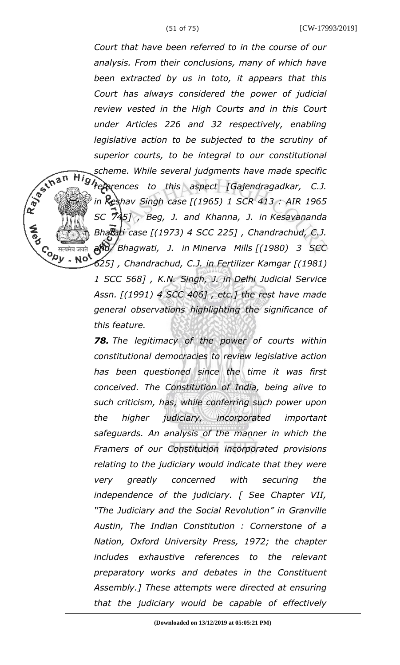(51 of 75) [CW-17993/2019] *Court that have been referred to in the course of our analysis. From their conclusions, many of which have been extracted by us in toto, it appears that this Court has always considered the power of judicial review vested in the High Courts and in this Court under Articles 226 and 32 respectively, enabling legislative action to be subjected to the scrutiny of superior courts, to be integral to our constitutional scheme. While several judgments have made specific references to this aspect [Gajendragadkar, C.J. in Keshav Singh case [(1965) 1 SCR 413 : AIR 1965 SC 745] , Beg, J. and Khanna, J. in Kesavananda Bharati case [(1973) 4 SCC 225] , Chandrachud, C.J. and Bhagwati, J. in Minerva Mills [(1980) 3 SCC* Co सत्यमेव जयते<br>Version Not *625] , Chandrachud, C.J. in Fertilizer Kamgar [(1981)*

R. Berthan

*1 SCC 568] , K.N. Singh, J. in Delhi Judicial Service Assn. [(1991) 4 SCC 406] , etc.] the rest have made general observations highlighting the significance of this feature.* 

*78. The legitimacy of the power of courts within constitutional democracies to review legislative action has been questioned since the time it was first conceived. The Constitution of India, being alive to such criticism, has, while conferring such power upon the higher judiciary, incorporated important safeguards. An analysis of the manner in which the Framers of our Constitution incorporated provisions relating to the judiciary would indicate that they were very greatly concerned with securing the independence of the judiciary. [ See Chapter VII, "The Judiciary and the Social Revolution" in Granville Austin, The Indian Constitution : Cornerstone of a Nation, Oxford University Press, 1972; the chapter includes exhaustive references to the relevant preparatory works and debates in the Constituent Assembly.] These attempts were directed at ensuring that the judiciary would be capable of effectively*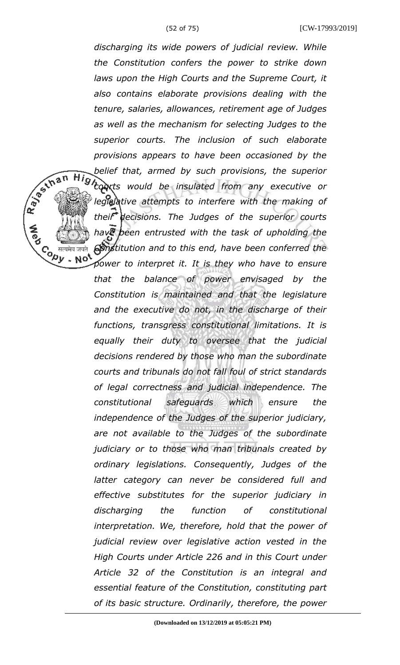*discharging its wide powers of judicial review. While the Constitution confers the power to strike down laws upon the High Courts and the Supreme Court, it also contains elaborate provisions dealing with the tenure, salaries, allowances, retirement age of Judges as well as the mechanism for selecting Judges to the superior courts. The inclusion of such elaborate provisions appears to have been occasioned by the belief that, armed by such provisions, the superior courts would be insulated from any executive or legislative attempts to interfere with the making of their decisions. The Judges of the superior courts have been entrusted with the task of upholding the Constitution and to this end, have been conferred the*  $. No$ *power to interpret it. It is they who have to ensure that the balance of power envisaged by the Constitution is maintained and that the legislature and the executive do not, in the discharge of their functions, transgress constitutional limitations. It is*

R BS IN B N

Contract

*equally their duty to oversee that the judicial decisions rendered by those who man the subordinate courts and tribunals do not fall foul of strict standards of legal correctness and judicial independence. The constitutional safeguards which ensure the independence of the Judges of the superior judiciary, are not available to the Judges of the subordinate judiciary or to those who man tribunals created by ordinary legislations. Consequently, Judges of the latter category can never be considered full and effective substitutes for the superior judiciary in discharging the function of constitutional interpretation. We, therefore, hold that the power of judicial review over legislative action vested in the High Courts under Article 226 and in this Court under Article 32 of the Constitution is an integral and essential feature of the Constitution, constituting part of its basic structure. Ordinarily, therefore, the power*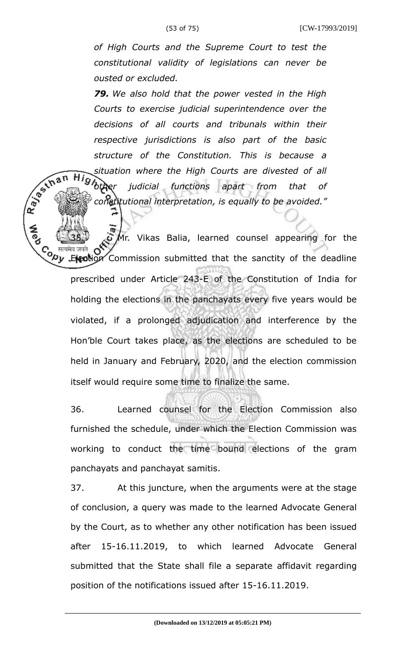R. B. Ellis

 $Hi_Q$ 

*of High Courts and the Supreme Court to test the constitutional validity of legislations can never be ousted or excluded.* 

*79. We also hold that the power vested in the High Courts to exercise judicial superintendence over the decisions of all courts and tribunals within their respective jurisdictions is also part of the basic structure of the Constitution. This is because a situation where the High Courts are divested of all other judicial functions apart from that of constitutional interpretation, is equally to be avoided."*

 $\Omega$  Mr. Vikas Balia, learned counsel appearing for the Co सत्यमेव जयते **OV**<br>Nullet Commission submitted that the sanctity of the deadline prescribed under Article 243-E of the Constitution of India for holding the elections in the panchayats every five years would be violated, if a prolonged adjudication and interference by the Hon'ble Court takes place, as the elections are scheduled to be held in January and February, 2020, and the election commission itself would require some time to finalize the same.

36. Learned counsel for the Election Commission also furnished the schedule, under which the Election Commission was working to conduct the time bound elections of the gram panchayats and panchayat samitis.

37. At this juncture, when the arguments were at the stage of conclusion, a query was made to the learned Advocate General by the Court, as to whether any other notification has been issued after 15-16.11.2019, to which learned Advocate General submitted that the State shall file a separate affidavit regarding position of the notifications issued after 15-16.11.2019.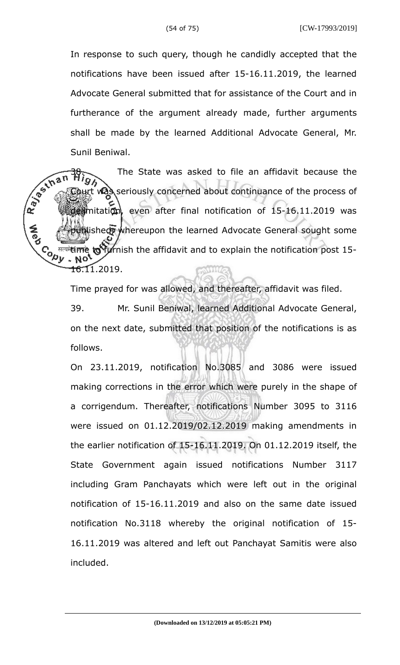In response to such query, though he candidly accepted that the notifications have been issued after 15-16.11.2019, the learned Advocate General submitted that for assistance of the Court and in furtherance of the argument already made, further arguments shall be made by the learned Additional Advocate General, Mr. Sunil Beniwal.

R. Bechan The State was asked to file an affidavit because the was seriously concerned about continuance of the process of delimitation, even after final notification of 15-16.11.2019 was **Buishedy whereupon the learned Advocate General sought some Cody** <sup>सत्यमे</sup>शिलोके **to** furnish the affidavit and to explain the notification post 15-NO. <del>16.</del>11.2019.

Time prayed for was allowed, and thereafter, affidavit was filed.

39. Mr. Sunil Beniwal, learned Additional Advocate General, on the next date, submitted that position of the notifications is as follows.

On 23.11.2019, notification No.3085 and 3086 were issued making corrections in the error which were purely in the shape of a corrigendum. Thereafter, notifications Number 3095 to 3116 were issued on 01.12.2019/02.12.2019 making amendments in the earlier notification of 15-16.11.2019. On 01.12.2019 itself, the State Government again issued notifications Number 3117 including Gram Panchayats which were left out in the original notification of 15-16.11.2019 and also on the same date issued notification No.3118 whereby the original notification of 15- 16.11.2019 was altered and left out Panchayat Samitis were also included.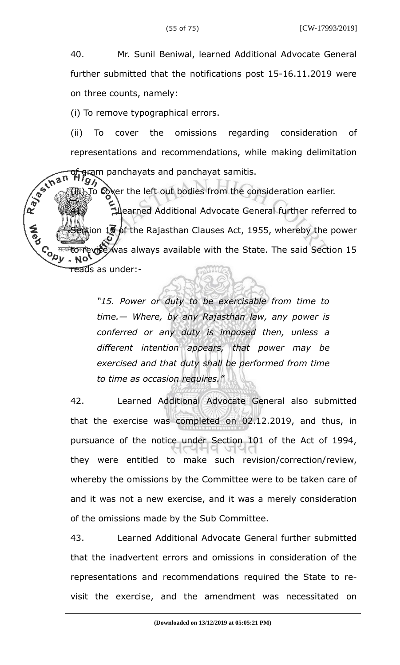40. Mr. Sunil Beniwal, learned Additional Advocate General further submitted that the notifications post 15-16.11.2019 were on three counts, namely:

(i) To remove typographical errors.

(ii) To cover the omissions regarding consideration of representations and recommendations, while making delimitation of gram panchayats and panchayat samitis.

R. Bechan  $\vec{p}$  cover the left out bodies from the consideration earlier. 41. Learned Additional Advocate General further referred to ion 15 of the Rajasthan Clauses Act, 1955, whereby the power **CONTROL** मत्यमेल के **was always available with the State. The said Section 15** reads as under:-

> *"15. Power or duty to be exercisable from time to time.— Where, by any Rajasthan law, any power is conferred or any duty is imposed then, unless a different intention appears, that power may be exercised and that duty shall be performed from time to time as occasion requires."*

42. Learned Additional Advocate General also submitted that the exercise was completed on 02.12.2019, and thus, in pursuance of the notice under Section 101 of the Act of 1994, they were entitled to make such revision/correction/review, whereby the omissions by the Committee were to be taken care of and it was not a new exercise, and it was a merely consideration of the omissions made by the Sub Committee.

43. Learned Additional Advocate General further submitted that the inadvertent errors and omissions in consideration of the representations and recommendations required the State to revisit the exercise, and the amendment was necessitated on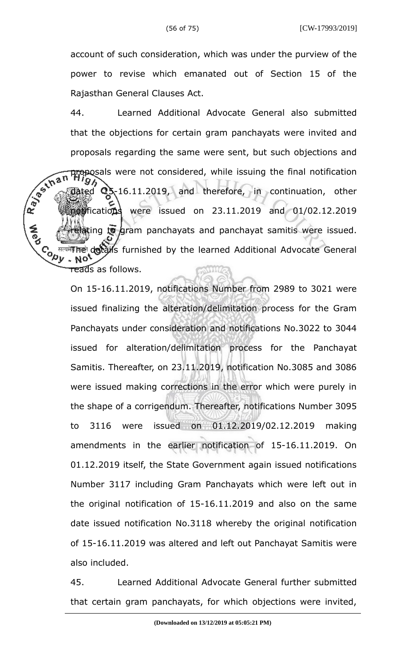account of such consideration, which was under the purview of the power to revise which emanated out of Section 15 of the Rajasthan General Clauses Act.

44. Learned Additional Advocate General also submitted that the objections for certain gram panchayats were invited and proposals regarding the same were sent, but such objections and R. B. Schan proposals were not considered, while issuing the final notification  $\frac{1}{2}$  dated  $\frac{1}{2}$ , 16.11.2019, and therefore, in continuation, other notifications were issued on 23.11.2019 and 01/02.12.2019 elating to gram panchayats and panchayat samitis were issued. **Cody** <sup>सत्यमे</sup>गिले details furnished by the learned Additional Advocate General  $\overline{\texttt{read}}$ s as follows. WMG

> On 15-16.11.2019, notifications Number from 2989 to 3021 were issued finalizing the alteration/delimitation process for the Gram Panchayats under consideration and notifications No.3022 to 3044 issued for alteration/delimitation process for the Panchayat Samitis. Thereafter, on 23.11.2019, notification No.3085 and 3086 were issued making corrections in the error which were purely in the shape of a corrigendum. Thereafter, notifications Number 3095 to 3116 were issued on 01.12.2019/02.12.2019 making amendments in the earlier notification of 15-16.11.2019. On 01.12.2019 itself, the State Government again issued notifications Number 3117 including Gram Panchayats which were left out in the original notification of 15-16.11.2019 and also on the same date issued notification No.3118 whereby the original notification of 15-16.11.2019 was altered and left out Panchayat Samitis were also included.

> 45. Learned Additional Advocate General further submitted that certain gram panchayats, for which objections were invited,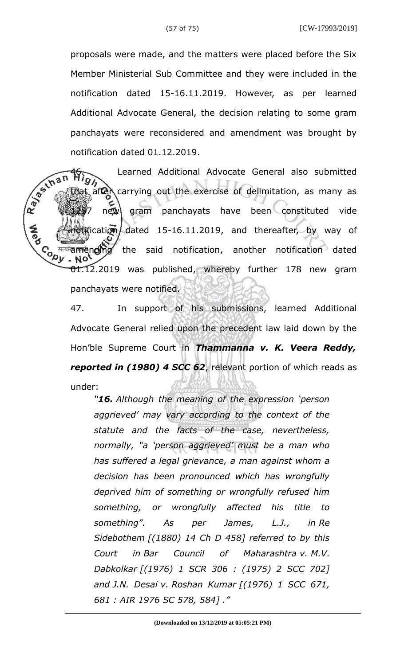proposals were made, and the matters were placed before the Six Member Ministerial Sub Committee and they were included in the notification dated 15-16.11.2019. However, as per learned Additional Advocate General, the decision relating to some gram panchayats were reconsidered and amendment was brought by notification dated 01.12.2019.

R. Bechan Learned Additional Advocate General also submitted  $\det$  carrying out the exercise of delimitation, as many as new gram panchayats have been constituted vide fication dated 15-16.11.2019, and thereafter, by way of **Cody** <sup>सत्यमें</sup>वला **लोगोव्र the said notification, another notification dated** NO' 01.12.2019 was published, whereby further 178 new gram panchayats were notified.

> 47. In support of his submissions, learned Additional Advocate General relied upon the precedent law laid down by the Hon'ble Supreme Court in *Thammanna v. K. Veera Reddy, reported in (1980) 4 SCC 62*, relevant portion of which reads as under:

*"16. Although the meaning of the expression 'person aggrieved' may vary according to the context of the statute and the facts of the case, nevertheless, normally, "a 'person aggrieved' must be a man who has suffered a legal grievance, a man against whom a decision has been pronounced which has wrongfully deprived him of something or wrongfully refused him something, or wrongfully affected his title to something". As per James, L.J., in Re Sidebothem [(1880) 14 Ch D 458] referred to by this Court in Bar Council of Maharashtra v. M.V. Dabkolkar [(1976) 1 SCR 306 : (1975) 2 SCC 702] and J.N. Desai v. Roshan Kumar [(1976) 1 SCC 671, 681 : AIR 1976 SC 578, 584] ."*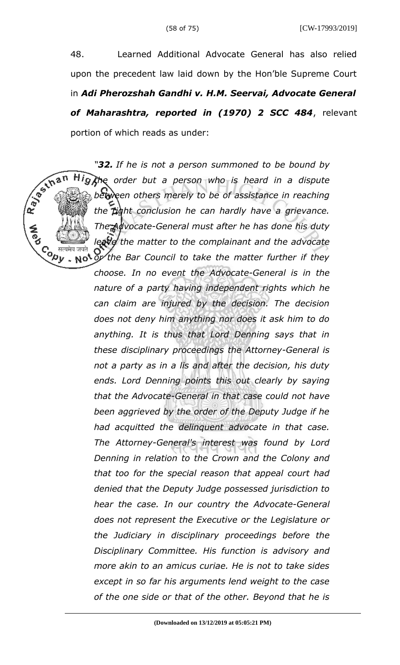48. Learned Additional Advocate General has also relied upon the precedent law laid down by the Hon'ble Supreme Court in *Adi Pherozshah Gandhi v. H.M. Seervai, Advocate General of Maharashtra, reported in (1970) 2 SCC 484*, relevant portion of which reads as under:

*"32. If he is not a person summoned to be bound by the order but a person who is heard in a dispute between others merely to be of assistance in reaching the right conclusion he can hardly have a grievance. The Advocate-General must after he has done his duty leave the matter to the complainant and the advocate or the Bar Council to take the matter further if they*

Copy<br>√्⁄20

*choose. In no event the Advocate-General is in the nature of a party having independent rights which he can claim are injured by the decision. The decision does not deny him anything nor does it ask him to do anything. It is thus that Lord Denning says that in these disciplinary proceedings the Attorney-General is not a party as in a lis and after the decision, his duty ends. Lord Denning points this out clearly by saying that the Advocate-General in that case could not have been aggrieved by the order of the Deputy Judge if he had acquitted the delinquent advocate in that case. The Attorney-General's interest was found by Lord Denning in relation to the Crown and the Colony and that too for the special reason that appeal court had denied that the Deputy Judge possessed jurisdiction to hear the case. In our country the Advocate-General does not represent the Executive or the Legislature or the Judiciary in disciplinary proceedings before the Disciplinary Committee. His function is advisory and more akin to an amicus curiae. He is not to take sides except in so far his arguments lend weight to the case of the one side or that of the other. Beyond that he is*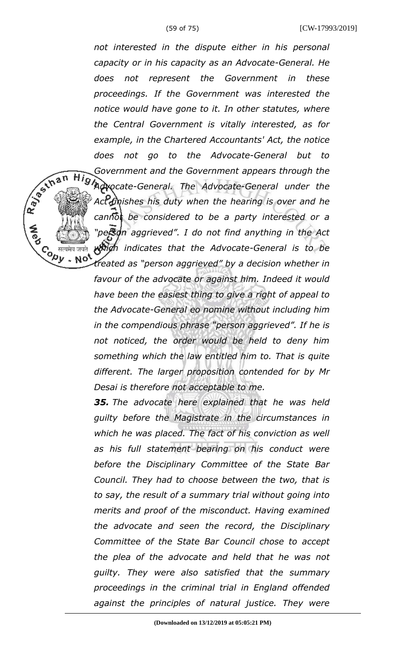*not interested in the dispute either in his personal capacity or in his capacity as an Advocate-General. He does not represent the Government in these proceedings. If the Government was interested the notice would have gone to it. In other statutes, where the Central Government is vitally interested, as for example, in the Chartered Accountants' Act, the notice does not go to the Advocate-General but to Government and the Government appears through the Advocate-General. The Advocate-General under the Act finishes his duty when the hearing is over and he cannot be considered to be a party interested or a "person aggrieved". I do not find anything in the Act which indicates that the Advocate-General is to be treated as "person aggrieved" by a decision whether in favour of the advocate or against him. Indeed it would have been the easiest thing to give a right of appeal to the Advocate-General eo nomine without including him in the compendious phrase "person aggrieved". If he is not noticed, the order would be held to deny him*

R BS IN B N

Co सत्यमेव जयते<br>Version Note

*something which the law entitled him to. That is quite different. The larger proposition contended for by Mr Desai is therefore not acceptable to me.* 

*35. The advocate here explained that he was held guilty before the Magistrate in the circumstances in which he was placed. The fact of his conviction as well as his full statement bearing on his conduct were before the Disciplinary Committee of the State Bar Council. They had to choose between the two, that is to say, the result of a summary trial without going into merits and proof of the misconduct. Having examined the advocate and seen the record, the Disciplinary Committee of the State Bar Council chose to accept the plea of the advocate and held that he was not guilty. They were also satisfied that the summary proceedings in the criminal trial in England offended against the principles of natural justice. They were*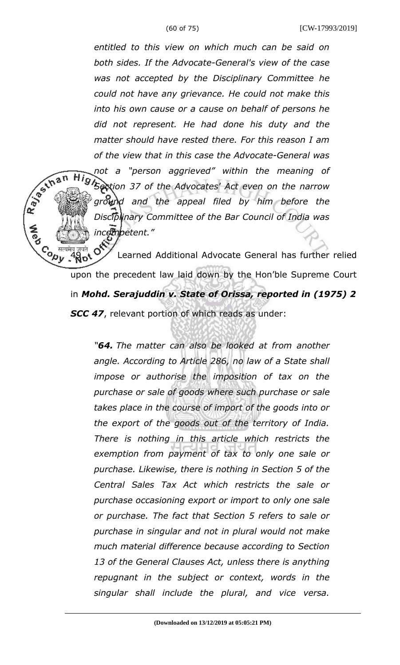*entitled to this view on which much can be said on both sides. If the Advocate-General's view of the case was not accepted by the Disciplinary Committee he could not have any grievance. He could not make this into his own cause or a cause on behalf of persons he did not represent. He had done his duty and the matter should have rested there. For this reason I am of the view that in this case the Advocate-General was*

*not a "person aggrieved" within the meaning of Section 37 of the Advocates' Act even on the narrow ground and the appeal filed by him before the Disciplinary Committee of the Bar Council of India was incompetent."*

R BS IN B N

Co *Realig State of Additional Advocate General has further relied* upon the precedent law laid down by the Hon'ble Supreme Court in *Mohd. Serajuddin v. State of Orissa, reported in (1975) 2 SCC 47*, relevant portion of which reads as under:

> *"64. The matter can also be looked at from another angle. According to Article 286, no law of a State shall impose or authorise the imposition of tax on the purchase or sale of goods where such purchase or sale takes place in the course of import of the goods into or the export of the goods out of the territory of India. There is nothing in this article which restricts the exemption from payment of tax to only one sale or purchase. Likewise, there is nothing in Section 5 of the Central Sales Tax Act which restricts the sale or purchase occasioning export or import to only one sale or purchase. The fact that Section 5 refers to sale or purchase in singular and not in plural would not make much material difference because according to Section 13 of the General Clauses Act, unless there is anything repugnant in the subject or context, words in the singular shall include the plural, and vice versa.*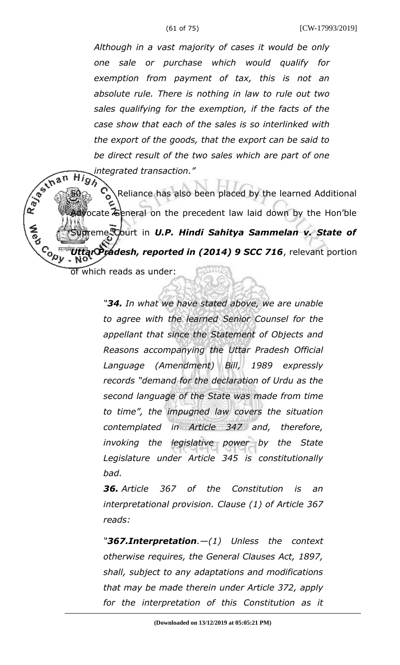*Although in a vast majority of cases it would be only one sale or purchase which would qualify for exemption from payment of tax, this is not an absolute rule. There is nothing in law to rule out two sales qualifying for the exemption, if the facts of the case show that each of the sales is so interlinked with the export of the goods, that the export can be said to be direct result of the two sales which are part of one integrated transaction."<br>Hin* 

 $\sqrt{\frac{50}{\pi}}$ <br> $\approx$  Reliance has also been placed by the learned Additional<br> $\approx$ ocate General on the precedent law laid down by the Hon'ble reme Court in *U.P. Hindi Sahitya Sammelan v. State of* **Cody** *Uttar Pradesh, reported in (2014) 9 SCC 716*, relevant portion

of which reads as under:

*"34. In what we have stated above, we are unable to agree with the learned Senior Counsel for the appellant that since the Statement of Objects and Reasons accompanying the Uttar Pradesh Official Language (Amendment) Bill, 1989 expressly records "demand for the declaration of Urdu as the second language of the State was made from time to time", the impugned law covers the situation contemplated in Article 347 and, therefore, invoking the legislative power by the State Legislature under Article 345 is constitutionally bad.* 

*36. Article 367 of the Constitution is an interpretational provision. Clause (1) of Article 367 reads:*

*"367.Interpretation.—(1) Unless the context otherwise requires, the General Clauses Act, 1897, shall, subject to any adaptations and modifications that may be made therein under Article 372, apply for the interpretation of this Constitution as it*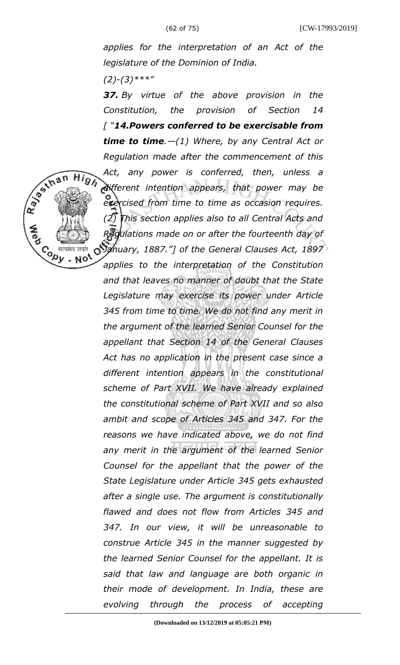*applies for the interpretation of an Act of the legislature of the Dominion of India.*

*(2)-(3)\*\*\*"*

Repair High

*37. By virtue of the above provision in the Constitution, the provision of Section 14 [ "14.Powers conferred to be exercisable from time to time.—(1) Where, by any Central Act or Regulation made after the commencement of this Act, any power is conferred, then, unless a different intention appears, that power may be exercised from time to time as occasion requires. (2) This section applies also to all Central Acts and Regulations made on or after the fourteenth day of January, 1887."] of the General Clauses Act, 1897 applies to the interpretation of the Constitution and that leaves no manner of doubt that the State Legislature may exercise its power under Article 345 from time to time. We do not find any merit in the argument of the learned Senior Counsel for the appellant that Section 14 of the General Clauses Act has no application in the present case since a different intention appears in the constitutional scheme of Part XVII. We have already explained the constitutional scheme of Part XVII and so also ambit and scope of Articles 345 and 347. For the reasons we have indicated above, we do not find any merit in the argument of the learned Senior Counsel for the appellant that the power of the State Legislature under Article 345 gets exhausted after a single use. The argument is constitutionally flawed and does not flow from Articles 345 and 347. In our view, it will be unreasonable to construe Article 345 in the manner suggested by the learned Senior Counsel for the appellant. It is said that law and language are both organic in their mode of development. In India, these are*

*evolving through the process of accepting*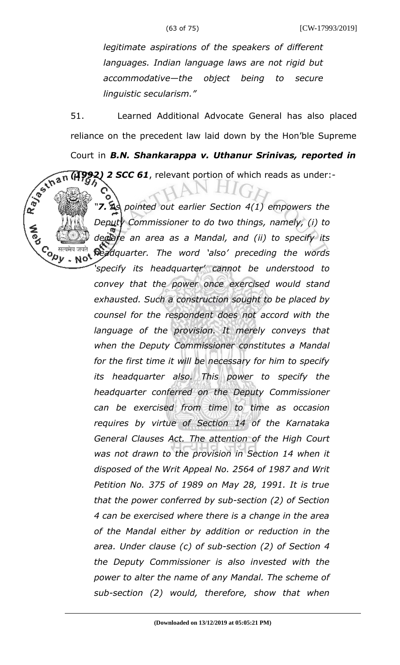ō

*legitimate aspirations of the speakers of different languages. Indian language laws are not rigid but accommodative—the object being to secure linguistic secularism."*

51. Learned Additional Advocate General has also placed reliance on the precedent law laid down by the Hon'ble Supreme Court in *B.N. Shankarappa v. Uthanur Srinivas, reported in*<br>  $\frac{1}{2}$ <br>  $\frac{1}{2}$ <br>  $\frac{1}{2}$ <br>  $\frac{1}{2}$ <br>  $\frac{1}{2}$ <br>  $\frac{1}{2}$ <br>  $\frac{1}{2}$ <br>  $\frac{1}{2}$ <br>  $\frac{1}{2}$ <br>  $\frac{1}{2}$ <br>  $\frac{1}{2}$ <br>  $\frac{1}{2}$ <br>  $\frac{1}{2}$ <br>  $\frac{1}{2}$ <br>  $\frac{1}{$ *(1992) 2 SCC 61*, relevant portion of which reads as under:-

*"7. As pointed out earlier Section 4(1) empowers the Deputy Commissioner to do two things, namely, (i) to declare an area as a Mandal, and (ii) to specify its* Co सत्यमेव जयते<br>Version Not *headquarter. The word 'also' preceding the words 'specify its headquarter' cannot be understood to convey that the power once exercised would stand exhausted. Such a construction sought to be placed by counsel for the respondent does not accord with the language of the provision. It merely conveys that when the Deputy Commissioner constitutes a Mandal for the first time it will be necessary for him to specify its headquarter also. This power to specify the headquarter conferred on the Deputy Commissioner can be exercised from time to time as occasion requires by virtue of Section 14 of the Karnataka General Clauses Act. The attention of the High Court was not drawn to the provision in Section 14 when it disposed of the Writ Appeal No. 2564 of 1987 and Writ Petition No. 375 of 1989 on May 28, 1991. It is true that the power conferred by sub-section (2) of Section 4 can be exercised where there is a change in the area of the Mandal either by addition or reduction in the area. Under clause (c) of sub-section (2) of Section 4 the Deputy Commissioner is also invested with the power to alter the name of any Mandal. The scheme of sub-section (2) would, therefore, show that when*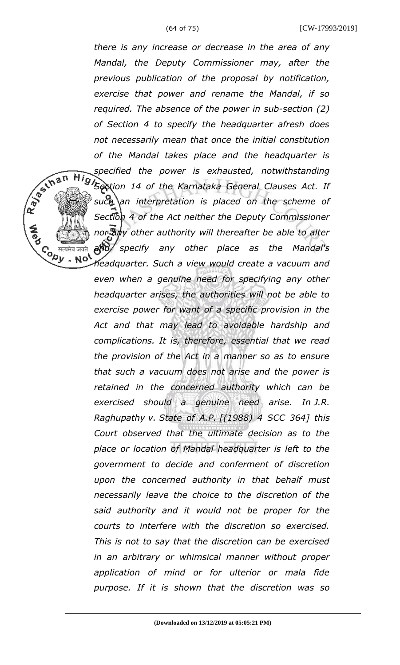*there is any increase or decrease in the area of any Mandal, the Deputy Commissioner may, after the previous publication of the proposal by notification, exercise that power and rename the Mandal, if so required. The absence of the power in sub-section (2) of Section 4 to specify the headquarter afresh does not necessarily mean that once the initial constitution of the Mandal takes place and the headquarter is specified the power is exhausted, notwithstanding Section 14 of the Karnataka General Clauses Act. If such an interpretation is placed on the scheme of Section 4 of the Act neither the Deputy Commissioner nor any other authority will thereafter be able to alter and specify any other place as the Mandal's* Co सत्यमेव जयते<br>Version Not *headquarter. Such a view would create a vacuum and*

R. Berthan

*even when a genuine need for specifying any other headquarter arises, the authorities will not be able to exercise power for want of a specific provision in the Act and that may lead to avoidable hardship and complications. It is, therefore, essential that we read the provision of the Act in a manner so as to ensure that such a vacuum does not arise and the power is retained in the concerned authority which can be exercised should a genuine need arise. In J.R. Raghupathy v. State of A.P. [(1988) 4 SCC 364] this Court observed that the ultimate decision as to the place or location of Mandal headquarter is left to the government to decide and conferment of discretion upon the concerned authority in that behalf must necessarily leave the choice to the discretion of the said authority and it would not be proper for the courts to interfere with the discretion so exercised. This is not to say that the discretion can be exercised in an arbitrary or whimsical manner without proper application of mind or for ulterior or mala fide purpose. If it is shown that the discretion was so*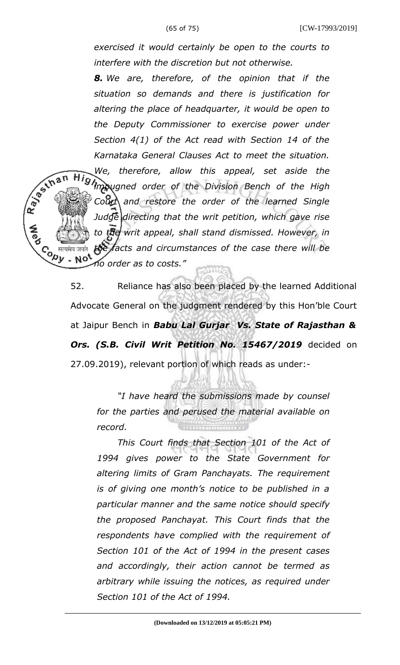*exercised it would certainly be open to the courts to interfere with the discretion but not otherwise.*

*8. We are, therefore, of the opinion that if the situation so demands and there is justification for altering the place of headquarter, it would be open to the Deputy Commissioner to exercise power under Section 4(1) of the Act read with Section 14 of the Karnataka General Clauses Act to meet the situation.*

R BS IN B N *We, therefore, allow this appeal, set aside the impugned order of the Division Bench of the High* Court and restore the order of the learned Single *Judge directing that the writ petition, which gave rise to the writ appeal, shall stand dismissed. However, in the facts and circumstances of the case there will be* **Copy**  $\sim$  No. *no order as to costs."*

> 52. Reliance has also been placed by the learned Additional Advocate General on the judgment rendered by this Hon'ble Court at Jaipur Bench in *Babu Lal Gurjar Vs. State of Rajasthan & Ors. (S.B. Civil Writ Petition No. 15467/2019* decided on 27.09.2019), relevant portion of which reads as under:-

*"I have heard the submissions made by counsel for the parties and perused the material available on record.*

*This Court finds that Section 101 of the Act of 1994 gives power to the State Government for altering limits of Gram Panchayats. The requirement is of giving one month's notice to be published in a particular manner and the same notice should specify the proposed Panchayat. This Court finds that the respondents have complied with the requirement of Section 101 of the Act of 1994 in the present cases and accordingly, their action cannot be termed as arbitrary while issuing the notices, as required under Section 101 of the Act of 1994.*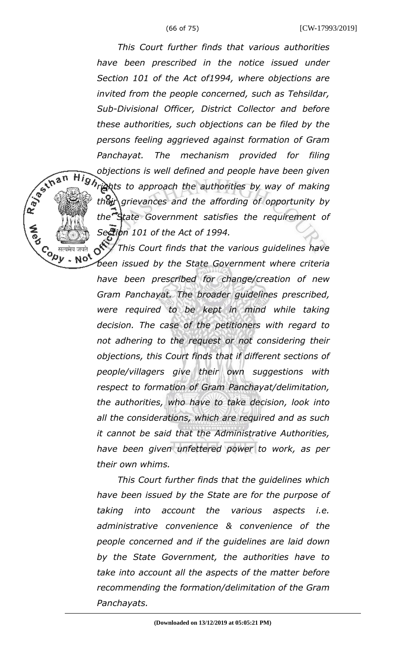R. Bestinan

Co सत्यमेव जयते<br>Version Note<br>Version Note

*This Court further finds that various authorities have been prescribed in the notice issued under Section 101 of the Act of1994, where objections are invited from the people concerned, such as Tehsildar, Sub-Divisional Officer, District Collector and before these authorities, such objections can be filed by the persons feeling aggrieved against formation of Gram Panchayat. The mechanism provided for filing objections is well defined and people have been given Hights to approach the authorities by way of making their grievances and the affording of opportunity by the State Government satisfies the requirement of Section 101 of the Act of 1994.*

 $\circ$ *This Court finds that the various guidelines have been issued by the State Government where criteria have been prescribed for change/creation of new Gram Panchayat. The broader guidelines prescribed, were required to be kept in mind while taking decision. The case of the petitioners with regard to not adhering to the request or not considering their objections, this Court finds that if different sections of people/villagers give their own suggestions with respect to formation of Gram Panchayat/delimitation, the authorities, who have to take decision, look into all the considerations, which are required and as such it cannot be said that the Administrative Authorities, have been given unfettered power to work, as per their own whims.* 

*This Court further finds that the guidelines which have been issued by the State are for the purpose of taking into account the various aspects i.e. administrative convenience & convenience of the people concerned and if the guidelines are laid down by the State Government, the authorities have to take into account all the aspects of the matter before recommending the formation/delimitation of the Gram Panchayats.*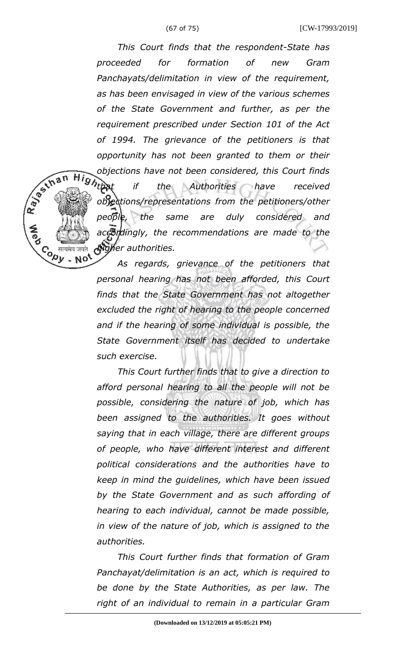*This Court finds that the respondent-State has proceeded for formation of new Gram Panchayats/delimitation in view of the requirement, as has been envisaged in view of the various schemes of the State Government and further, as per the requirement prescribed under Section 101 of the Act of 1994. The grievance of the petitioners is that opportunity has not been granted to them or their Objections have not been considered, this Court finds*<br>*Hightnat if* the Authorities have received *if* the Authorities have received *objections/representations from the petitioners/other people, the same are duly considered and accordingly, the recommendations are made to the higher authorities.*   $. No$ 

R BS IN B N

Contre

*As regards, grievance of the petitioners that personal hearing has not been afforded, this Court finds that the State Government has not altogether excluded the right of hearing to the people concerned and if the hearing of some individual is possible, the State Government itself has decided to undertake such exercise.* 

*This Court further finds that to give a direction to afford personal hearing to all the people will not be possible, considering the nature of job, which has been assigned to the authorities. It goes without saying that in each village, there are different groups of people, who have different interest and different political considerations and the authorities have to keep in mind the guidelines, which have been issued by the State Government and as such affording of hearing to each individual, cannot be made possible, in view of the nature of job, which is assigned to the authorities.* 

*This Court further finds that formation of Gram Panchayat/delimitation is an act, which is required to be done by the State Authorities, as per law. The right of an individual to remain in a particular Gram*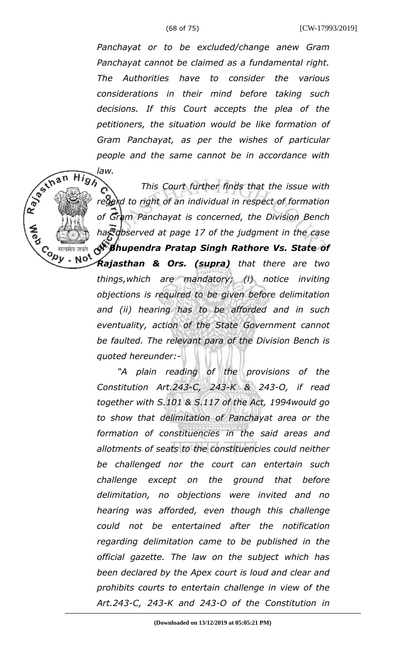*Panchayat or to be excluded/change anew Gram Panchayat cannot be claimed as a fundamental right. The Authorities have to consider the various considerations in their mind before taking such decisions. If this Court accepts the plea of the petitioners, the situation would be like formation of Gram Panchayat, as per the wishes of particular law.* 

*people and the same cannot be in accordance with*<br>law.<br>This Court further finds that the issue with<br>regard to right of an individual *This Court further finds that the issue with* regard to right of an individual in respect of formation *of Gram Panchayat is concerned, the Division Bench has observed at page 17 of the judgment in the case of Bhupendra Pratap Singh Rathore Vs. State of*

> *Rajasthan & Ors. (supra) that there are two things,which are mandatory; (i) notice inviting objections is required to be given before delimitation and (ii) hearing has to be afforded and in such eventuality, action of the State Government cannot be faulted. The relevant para of the Division Bench is quoted hereunder:-*

Co सत्यमेव जयते<br>Version Note<br>Version Note

*"A plain reading of the provisions of the Constitution Art.243-C, 243-K & 243-O, if read together with S.101 & S.117 of the Act, 1994would go to show that delimitation of Panchayat area or the formation of constituencies in the said areas and allotments of seats to the constituencies could neither be challenged nor the court can entertain such challenge except on the ground that before delimitation, no objections were invited and no hearing was afforded, even though this challenge could not be entertained after the notification regarding delimitation came to be published in the official gazette. The law on the subject which has been declared by the Apex court is loud and clear and prohibits courts to entertain challenge in view of the Art.243-C, 243-K and 243-O of the Constitution in*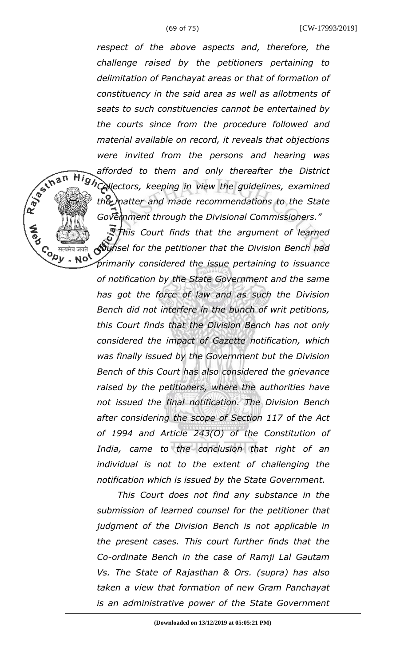R BS IN B N

 $\overline{c}$  (  $\overline{a}$   $\overline{b}$   $\overline{b}$   $\overline{b}$   $\overline{c}$   $\overline{a}$   $\overline{a}$   $\overline{b}$   $\overline{b}$   $\overline{c}$   $\overline{a}$   $\overline{a}$   $\overline{b}$   $\overline{c}$   $\overline{a}$   $\overline{c}$   $\overline{a}$   $\overline{a}$   $\overline{a}$   $\overline{a}$   $\overline{a}$   $\overline{a}$   $\overline{a}$   $\over$ 

*respect of the above aspects and, therefore, the challenge raised by the petitioners pertaining to delimitation of Panchayat areas or that of formation of constituency in the said area as well as allotments of seats to such constituencies cannot be entertained by the courts since from the procedure followed and material available on record, it reveals that objections were invited from the persons and hearing was afforded to them and only thereafter the District* **HighCallectors, keeping in view the guidelines, examined** *the matter and made recommendations to the State Government through the Divisional Commissioners."* 

*This Court finds that the argument of learned counsel for the petitioner that the Division Bench had*

*primarily considered the issue pertaining to issuance of notification by the State Government and the same has got the force of law and as such the Division Bench did not interfere in the bunch of writ petitions, this Court finds that the Division Bench has not only considered the impact of Gazette notification, which was finally issued by the Government but the Division Bench of this Court has also considered the grievance raised by the petitioners, where the authorities have not issued the final notification. The Division Bench after considering the scope of Section 117 of the Act of 1994 and Article 243(O) of the Constitution of India, came to the conclusion that right of an individual is not to the extent of challenging the notification which is issued by the State Government.* 

*This Court does not find any substance in the submission of learned counsel for the petitioner that judgment of the Division Bench is not applicable in the present cases. This court further finds that the Co-ordinate Bench in the case of Ramji Lal Gautam Vs. The State of Rajasthan & Ors. (supra) has also taken a view that formation of new Gram Panchayat is an administrative power of the State Government*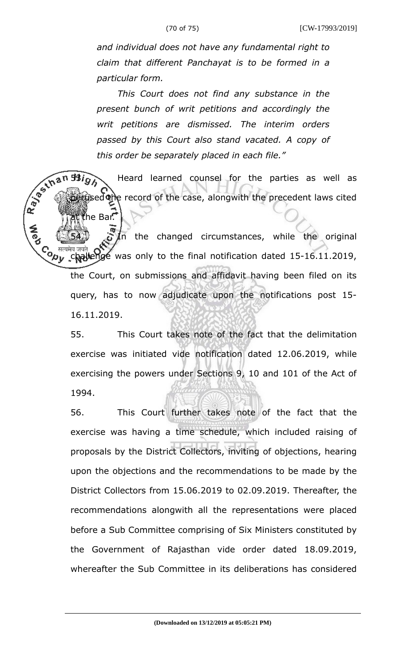*and individual does not have any fundamental right to claim that different Panchayat is to be formed in a particular form.* 

*This Court does not find any substance in the present bunch of writ petitions and accordingly the writ petitions are dismissed. The interim orders passed by this Court also stand vacated. A copy of this order be separately placed in each file."*

Heard learned counsel for the parties as well as  $\hat{\sigma}^s$  . Heard learned counsel for the parties as well as sed the record of the case, alongwith the precedent laws cited

he Bar.

 $5/ln$  the changed circumstances, while the original Co <sup>सत्यमेव जयते</sup> only to the final notification dated 15-16.11.2019, the Court, on submissions and affidavit having been filed on its query, has to now adjudicate upon the notifications post 15- 16.11.2019.

55. This Court takes note of the fact that the delimitation exercise was initiated vide notification dated 12.06.2019, while exercising the powers under Sections 9, 10 and 101 of the Act of 1994.

56. This Court further takes note of the fact that the exercise was having a time schedule, which included raising of proposals by the District Collectors, inviting of objections, hearing upon the objections and the recommendations to be made by the District Collectors from 15.06.2019 to 02.09.2019. Thereafter, the recommendations alongwith all the representations were placed before a Sub Committee comprising of Six Ministers constituted by the Government of Rajasthan vide order dated 18.09.2019, whereafter the Sub Committee in its deliberations has considered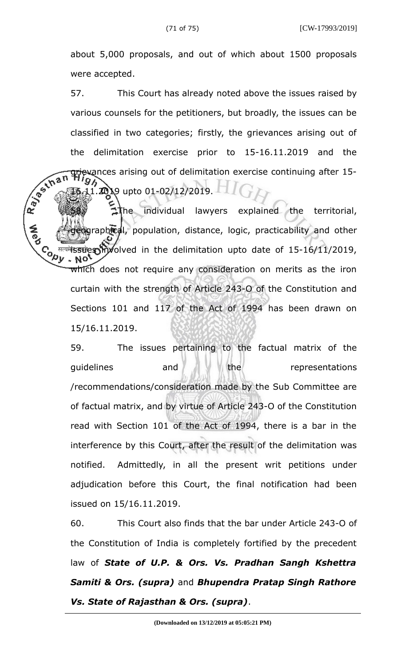about 5,000 proposals, and out of which about 1500 proposals were accepted.

57. This Court has already noted above the issues raised by various counsels for the petitioners, but broadly, the issues can be classified in two categories; firstly, the grievances arising out of the delimitation exercise prior to 15-16.11.2019 and the evances arising out of delimitation exercise continuing after 15- $1.2019$  upto 01-02/12/2019.

Rajackna The individual lawyers explained the territorial, graphical, population, distance, logic, practicability and other **Cody** <sup>सत्यमे</sup>ंड उपस्थान *involved* in the delimitation upto date of 15-16/11/2019, which does not require any consideration on merits as the iron curtain with the strength of Article 243-O of the Constitution and Sections 101 and 117 of the Act of 1994 has been drawn on 15/16.11.2019.

> 59. The issues pertaining to the factual matrix of the quidelines and and the representations /recommendations/consideration made by the Sub Committee are of factual matrix, and by virtue of Article 243-O of the Constitution read with Section 101 of the Act of 1994, there is a bar in the interference by this Court, after the result of the delimitation was notified. Admittedly, in all the present writ petitions under adjudication before this Court, the final notification had been issued on 15/16.11.2019.

> 60. This Court also finds that the bar under Article 243-O of the Constitution of India is completely fortified by the precedent law of *State of U.P. & Ors. Vs. Pradhan Sangh Kshettra Samiti & Ors. (supra)* and *Bhupendra Pratap Singh Rathore Vs. State of Rajasthan & Ors. (supra)*.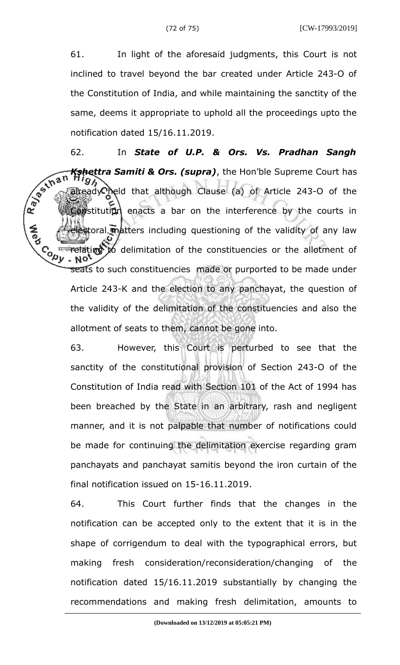61. In light of the aforesaid judgments, this Court is not inclined to travel beyond the bar created under Article 243-O of the Constitution of India, and while maintaining the sanctity of the same, deems it appropriate to uphold all the proceedings upto the notification dated 15/16.11.2019.

62. In *State of U.P. & Ors. Vs. Pradhan Sangh* R. Bechan *Kshettra Samiti & Ors. (supra)*, the Hon'ble Supreme Court has already held that although Clause (a) of Article 243-O of the **Constitution** enacts a bar on the interference by the courts in etoral matters including questioning of the validity of any law **Cody** मत्यमे**ला बेting to** delimitation of the constituencies or the allotment of seats to such constituencies made or purported to be made under Article 243-K and the election to any panchayat, the question of the validity of the delimitation of the constituencies and also the allotment of seats to them, cannot be gone into.

> 63. However, this Court is perturbed to see that the sanctity of the constitutional provision of Section 243-O of the Constitution of India read with Section 101 of the Act of 1994 has been breached by the State in an arbitrary, rash and negligent manner, and it is not palpable that number of notifications could be made for continuing the delimitation exercise regarding gram panchayats and panchayat samitis beyond the iron curtain of the final notification issued on 15-16.11.2019.

> 64. This Court further finds that the changes in the notification can be accepted only to the extent that it is in the shape of corrigendum to deal with the typographical errors, but making fresh consideration/reconsideration/changing of the notification dated 15/16.11.2019 substantially by changing the recommendations and making fresh delimitation, amounts to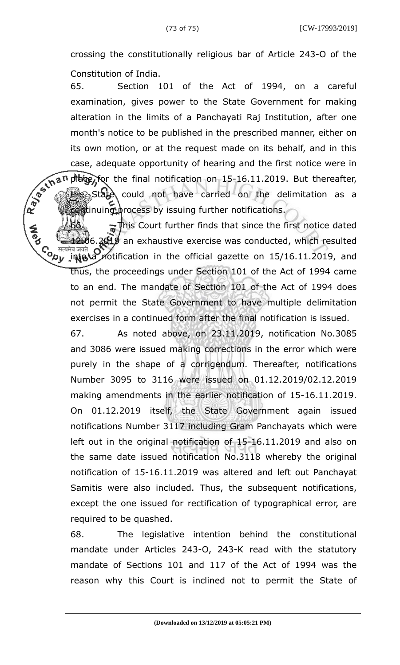crossing the constitutionally religious bar of Article 243-O of the Constitution of India.

65. Section 101 of the Act of 1994, on a careful examination, gives power to the State Government for making alteration in the limits of a Panchayati Raj Institution, after one month's notice to be published in the prescribed manner, either on its own motion, or at the request made on its behalf, and in this case, adequate opportunity of hearing and the first notice were in place for the final notification on  $15-16.11.2019$ . But thereafter, State could not have carried on the delimitation as a continuing process by issuing further notifications.

Ray of that This Court further finds that since the first notice dated 06.2019 an exhaustive exercise was conducted, which resulted **Control** मवजवत **O** 2 notification in the official gazette on 15/16.11.2019, and thus, the proceedings under Section 101 of the Act of 1994 came to an end. The mandate of Section 101 of the Act of 1994 does not permit the State Government to have multiple delimitation exercises in a continued form after the final notification is issued.

> 67. As noted above, on 23.11.2019, notification No.3085 and 3086 were issued making corrections in the error which were purely in the shape of a corrigendum. Thereafter, notifications Number 3095 to 3116 were issued on 01.12.2019/02.12.2019 making amendments in the earlier notification of 15-16.11.2019. On 01.12.2019 itself, the State Government again issued notifications Number 3117 including Gram Panchayats which were left out in the original notification of 15-16.11.2019 and also on the same date issued notification No.3118 whereby the original notification of 15-16.11.2019 was altered and left out Panchayat Samitis were also included. Thus, the subsequent notifications, except the one issued for rectification of typographical error, are required to be quashed.

> 68. The legislative intention behind the constitutional mandate under Articles 243-O, 243-K read with the statutory mandate of Sections 101 and 117 of the Act of 1994 was the reason why this Court is inclined not to permit the State of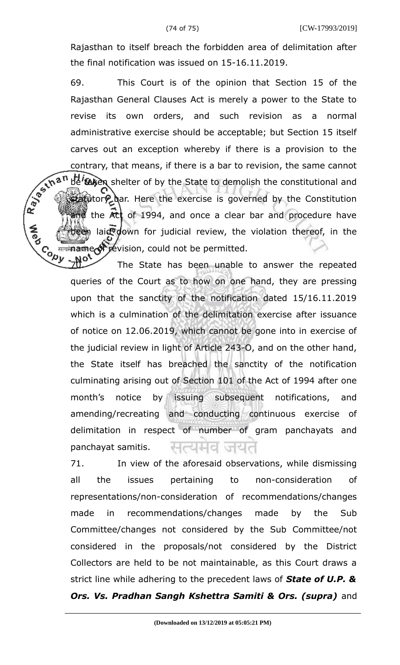Rajasthan to itself breach the forbidden area of delimitation after the final notification was issued on 15-16.11.2019.

69. This Court is of the opinion that Section 15 of the Rajasthan General Clauses Act is merely a power to the State to revise its own orders, and such revision as a normal administrative exercise should be acceptable; but Section 15 itself carves out an exception whereby if there is a provision to the contrary, that means, if there is a bar to revision, the same cannot<br>  $x^2 + 2\pi^2$  be exercise to demolish the constitutional and<br>  $x^2 + 2\pi^2$  the state to demolish the constitutional and be taken shelter of by the State to demolish the constitutional and statutory har. Here the exercise is governed by the Constitution the  $Act$  of 1994, and once a clear bar and procedure have been laid down for judicial review, the violation thereof, in the **Copy** under the vision, could not be permitted.

The State has been unable to answer the repeated queries of the Court as to how on one hand, they are pressing upon that the sanctity of the notification dated 15/16.11.2019 which is a culmination of the delimitation exercise after issuance of notice on 12.06.2019, which cannot be gone into in exercise of the judicial review in light of Article 243-O, and on the other hand, the State itself has breached the sanctity of the notification culminating arising out of Section 101 of the Act of 1994 after one month's notice by issuing subsequent notifications, and amending/recreating and conducting continuous exercise of delimitation in respect of number of gram panchayats and panchayat samitis. जयत

71. In view of the aforesaid observations, while dismissing all the issues pertaining to non-consideration of representations/non-consideration of recommendations/changes made in recommendations/changes made by the Sub Committee/changes not considered by the Sub Committee/not considered in the proposals/not considered by the District Collectors are held to be not maintainable, as this Court draws a strict line while adhering to the precedent laws of *State of U.P. &* **Ors. Vs. Pradhan Sangh Kshettra Samiti & Ors. (supra)** and